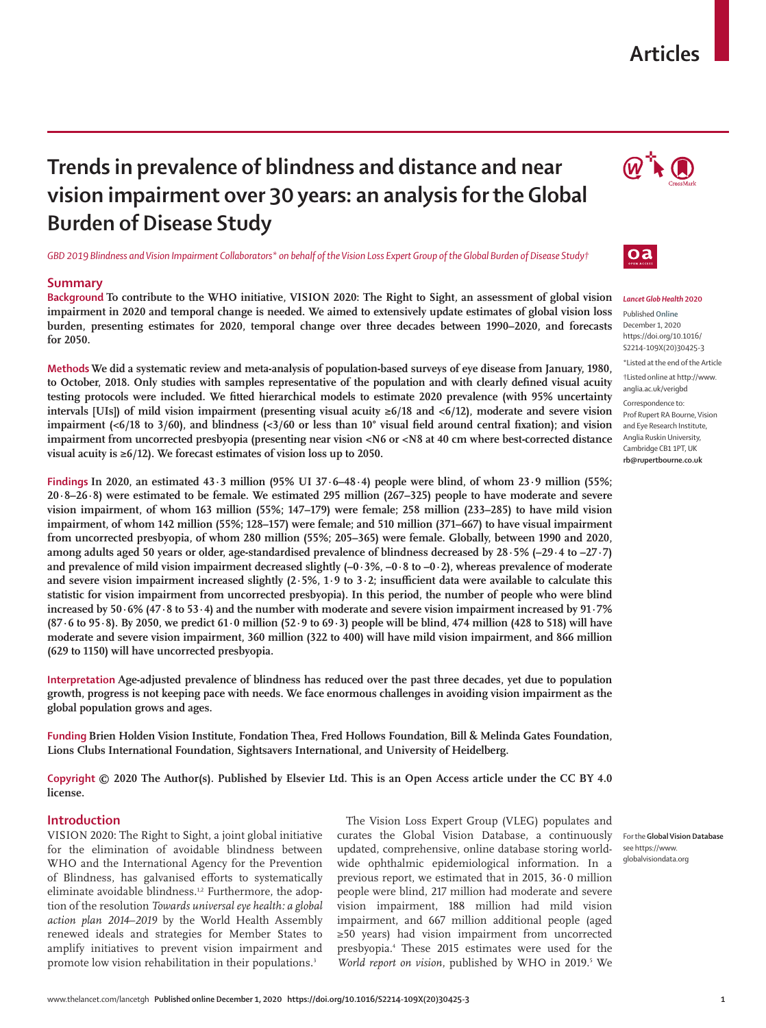# **Articles**

# **Trends in prevalence of blindness and distance and near vision impairment over 30 years: an analysis for the Global Burden of Disease Study**

*GBD 2019 Blindness and Vision Impairment Collaborators\* on behalf of the Vision Loss Expert Group of the Global Burden of Disease Study†*

# **Summary**

**Background To contribute to the WHO initiative, VISION 2020: The Right to Sight***,* **an assessment of global vision impairment in 2020 and temporal change is needed. We aimed to extensively update estimates of global vision loss burden, presenting estimates for 2020, temporal change over three decades between 1990–2020, and forecasts for 2050.**

**Methods We did a systematic review and meta-analysis of population-based surveys of eye disease from January, 1980, to October, 2018. Only studies with samples representative of the population and with clearly defined visual acuity testing protocols were included. We fitted hierarchical models to estimate 2020 prevalence (with 95% uncertainty intervals [UIs]) of mild vision impairment (presenting visual acuity ≥6/18 and <6/12), moderate and severe vision impairment (<6/18 to 3/60), and blindness (<3/60 or less than 10° visual field around central fixation); and vision impairment from uncorrected presbyopia (presenting near vision <N6 or <N8 at 40 cm where best-corrected distance visual acuity is ≥6/12). We forecast estimates of vision loss up to 2050.**

**Findings In 2020, an estimated 43·3 million (95% UI 37·6–48·4) people were blind, of whom 23·9 million (55%; 20·8–26·8) were estimated to be female. We estimated 295 million (267–325) people to have moderate and severe vision impairment, of whom 163 million (55%; 147–179) were female; 258 million (233–285) to have mild vision impairment, of whom 142 million (55%; 128–157) were female; and 510 million (371–667) to have visual impairment from uncorrected presbyopia, of whom 280 million (55%; 205–365) were female. Globally, between 1990 and 2020, among adults aged 50 years or older, age-standardised prevalence of blindness decreased by 28·5% (–29·4 to –27·7) and prevalence of mild vision impairment decreased slightly (–0·3%, –0·8 to –0·2), whereas prevalence of moderate and severe vision impairment increased slightly (2·5%, 1·9 to 3·2; insufficient data were available to calculate this statistic for vision impairment from uncorrected presbyopia). In this period, the number of people who were blind increased by 50·6% (47·8 to 53·4) and the number with moderate and severe vision impairment increased by 91·7% (87·6 to 95·8). By 2050, we predict 61·0 million (52·9 to 69·3) people will be blind, 474 million (428 to 518) will have moderate and severe vision impairment, 360 million (322 to 400) will have mild vision impairment, and 866 million (629 to 1150) will have uncorrected presbyopia.**

**Interpretation Age-adjusted prevalence of blindness has reduced over the past three decades, yet due to population growth, progress is not keeping pace with needs. We face enormous challenges in avoiding vision impairment as the global population grows and ages.**

**Funding Brien Holden Vision Institute, Fondation Thea, Fred Hollows Foundation, Bill & Melinda Gates Foundation, Lions Clubs International Foundation, Sightsavers International, and University of Heidelberg.**

**Copyright © 2020 The Author(s). Published by Elsevier Ltd. This is an Open Access article under the CC BY 4.0 license.** 

## **Introduction**

VISION 2020: The Right to Sight, a joint global initiative for the elimination of avoidable blindness between WHO and the International Agency for the Prevention of Blindness, has galvanised efforts to systematically eliminate avoidable blindness.<sup>1,2</sup> Furthermore, the adoption of the resolution *Towards universal eye health: a global action plan 2014–2019* by the World Health Assembly renewed ideals and strategies for Member States to amplify initiatives to prevent vision impairment and promote low vision rehabilitation in their populations.<sup>3</sup>

The Vision Loss Expert Group (VLEG) populates and curates the [Global Vision Database,](https://www.globalvisiondata.org) a continuously updated, comprehensive, online database storing worldwide ophthalmic epidemiological information. In a previous report, we estimated that in 2015, 36·0 million people were blind, 217 million had moderate and severe vision impairment, 188 million had mild vision impairment, and 667 million additional people (aged ≥50 years) had vision impairment from uncorrected presbyopia.4 These 2015 estimates were used for the World report on vision, published by WHO in 2019.<sup>5</sup> We





#### *Lancet Glob Health* **2020** Published **Online** December 1, 2020

https://doi.org/10.1016/ S2214-109X(20)30425-3

\*Listed at the end of the Article †Listed online at [http://www.](http://www.anglia.ac.uk/verigbd) [anglia.ac.uk/verigbd](http://www.anglia.ac.uk/verigbd) Correspondence to: Prof Rupert RA Bourne, Vision

and Eye Research Institute, Anglia Ruskin University, Cambridge CB1 1PT, UK **rb@rupertbourne.co.uk**

For the **Global Vision Database**  see [https://www.](https://www.globalvisiondata.org) [globalvisiondata.org](https://www.globalvisiondata.org)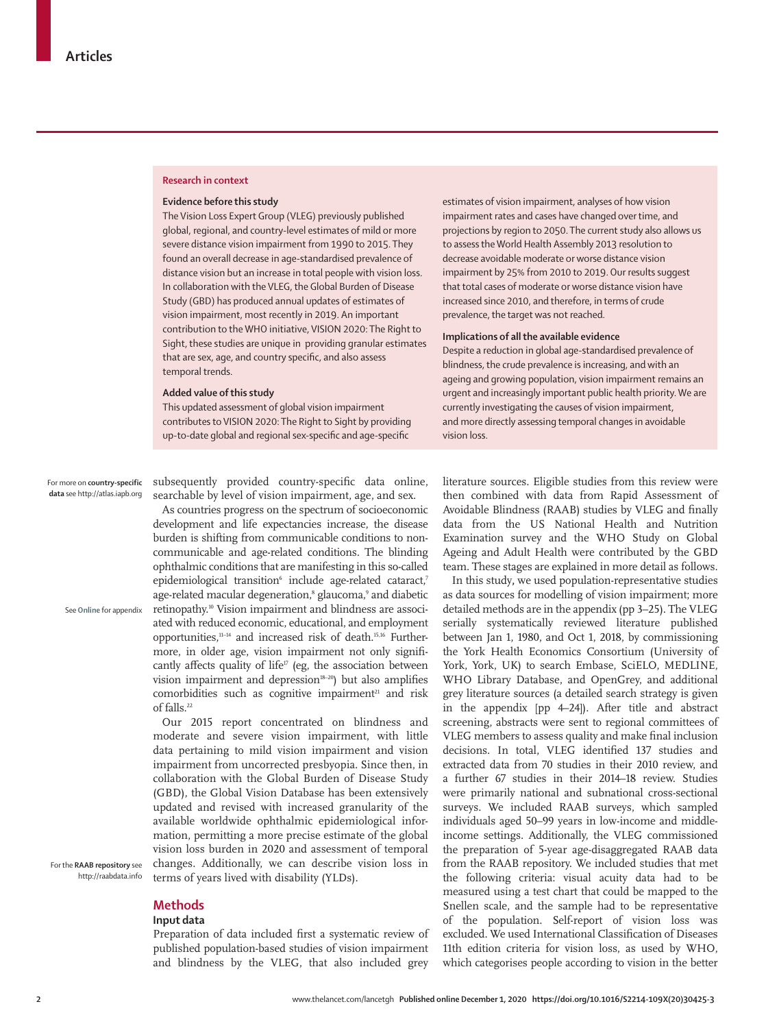#### **Research in context**

#### **Evidence before this study**

The Vision Loss Expert Group (VLEG) previously published global, regional, and country-level estimates of mild or more severe distance vision impairment from 1990 to 2015. They found an overall decrease in age-standardised prevalence of distance vision but an increase in total people with vision loss. In collaboration with the VLEG, the Global Burden of Disease Study (GBD) has produced annual updates of estimates of vision impairment, most recently in 2019. An important contribution to the WHO initiative, VISION 2020: The Right to Sight, these studies are unique in providing granular estimates that are sex, age, and country specific, and also assess temporal trends.

### **Added value of this study**

This updated assessment of global vision impairment contributes to VISION 2020: The Right to Sight by providing up-to-date global and regional sex-specific and age-specific

estimates of vision impairment, analyses of how vision impairment rates and cases have changed over time, and projections by region to 2050. The current study also allows us to assess the World Health Assembly 2013 resolution to decrease avoidable moderate or worse distance vision impairment by 25% from 2010 to 2019. Our results suggest that total cases of moderate or worse distance vision have increased since 2010, and therefore, in terms of crude prevalence, the target was not reached.

# **Implications of all the available evidence**

Despite a reduction in global age-standardised prevalence of blindness, the crude prevalence is increasing, and with an ageing and growing population, vision impairment remains an urgent and increasingly important public health priority. We are currently investigating the causes of vision impairment, and more directly assessing temporal changes in avoidable vision loss.

For more on **country-specific data** see <http://atlas.iapb.org>

See **Online** for appendix

subsequently provided [country-specific data online,](http://atlas.iapb.org) searchable by level of vision impairment, age, and sex.

As countries progress on the spectrum of socioeconomic development and life expectancies increase, the disease burden is shifting from communicable conditions to noncommunicable and age-related conditions. The blinding ophthalmic conditions that are manifesting in this so-called epidemiological transition<sup>6</sup> include age-related cataract,<sup>7</sup> age-related macular degeneration,8 glaucoma,9 and diabetic retinopathy.10 Vision impairment and blindness are associated with reduced economic, educational, and employment opportunities,11–14 and increased risk of death.15,16 Furthermore, in older age, vision impairment not only significantly affects quality of life $\mathbb{F}$  (eg, the association between vision impairment and depression<sup>18-20</sup>) but also amplifies comorbidities such as cognitive impairment $21$  and risk of falls.<sup>22</sup>

Our 2015 report concentrated on blindness and moderate and severe vision impairment, with little data pertaining to mild vision impairment and vision impairment from uncorrected presbyopia. Since then, in collaboration with the Global Burden of Disease Study (GBD), the Global Vision Database has been extensively updated and revised with increased granularity of the available worldwide ophthalmic epidemiological information, permitting a more precise estimate of the global vision loss burden in 2020 and assessment of temporal changes. Additionally, we can describe vision loss in terms of years lived with disability (YLDs).

For the **RAAB repository** see <http://raabdata.info>

# **Methods**

# **Input data**

Preparation of data included first a systematic review of published population-based studies of vision impairment and blindness by the VLEG, that also included grey

literature sources. Eligible studies from this review were then combined with data from Rapid Assessment of Avoidable Blindness (RAAB) studies by VLEG and finally data from the US National Health and Nutrition Examination survey and the WHO Study on Global Ageing and Adult Health were contributed by the GBD team. These stages are explained in more detail as follows.

In this study**,** we used population-representative studies as data sources for modelling of vision impairment; more detailed methods are in the appendix (pp 3–25). The VLEG serially systematically reviewed literature published between Jan 1, 1980, and Oct 1, 2018, by commissioning the York Health Economics Consortium (University of York, York, UK) to search Embase, SciELO, MEDLINE, WHO Library Database, and OpenGrey, and additional grey literature sources (a detailed search strategy is given in the appendix [pp 4–24]). After title and abstract screening, abstracts were sent to regional committees of VLEG members to assess quality and make final inclusion decisions. In total, VLEG identified 137 studies and extracted data from 70 studies in their 2010 review, and a further 67 studies in their 2014–18 review. Studies were primarily national and subnational cross-sectional surveys. We included RAAB surveys, which sampled individuals aged 50–99 years in low-income and middleincome settings. Additionally, the VLEG commissioned the preparation of 5-year age-disaggregated RAAB data from the [RAAB repository.](http://raabdata.info) We included studies that met the following criteria: visual acuity data had to be measured using a test chart that could be mapped to the Snellen scale, and the sample had to be representative of the population. Self-report of vision loss was excluded. We used International Classification of Diseases 11th edition criteria for vision loss, as used by WHO, which categorises people according to vision in the better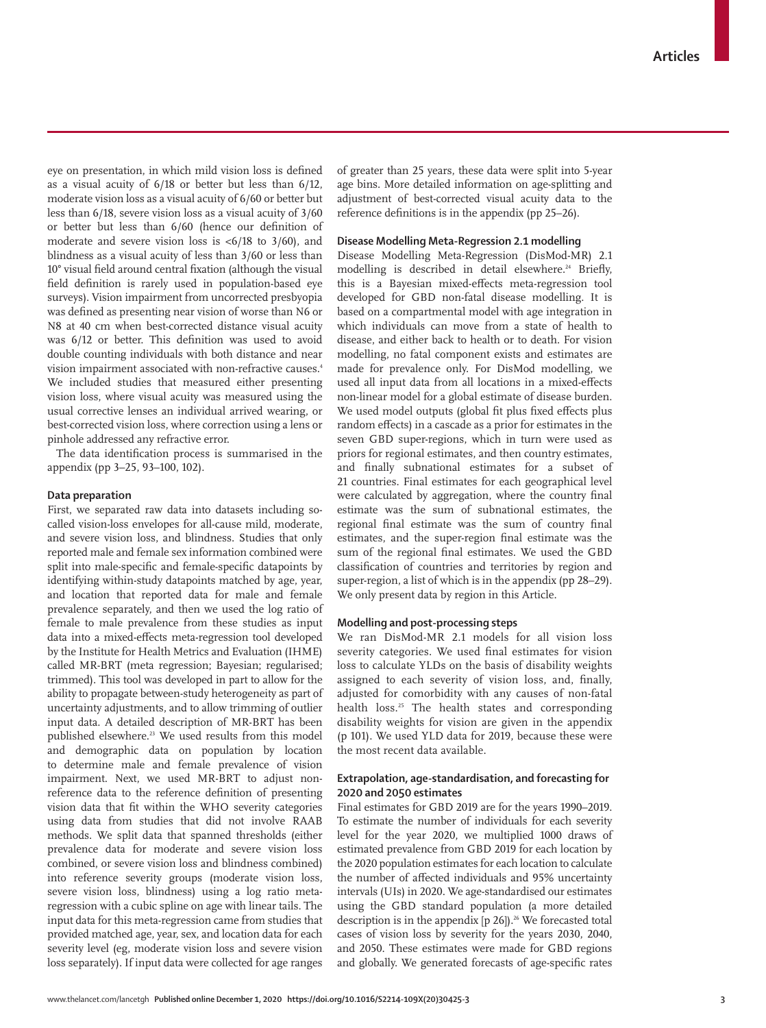eye on presentation, in which mild vision loss is defined as a visual acuity of 6/18 or better but less than 6/12, moderate vision loss as a visual acuity of 6/60 or better but less than 6/18, severe vision loss as a visual acuity of 3/60 or better but less than 6/60 (hence our definition of moderate and severe vision loss is <6/18 to 3/60), and blindness as a visual acuity of less than 3/60 or less than 10° visual field around central fixation (although the visual field definition is rarely used in population-based eye surveys). Vision impairment from uncorrected presbyopia was defined as presenting near vision of worse than N6 or N8 at 40 cm when best-corrected distance visual acuity was 6/12 or better. This definition was used to avoid double counting individuals with both distance and near vision impairment associated with non-refractive causes.4 We included studies that measured either presenting vision loss, where visual acuity was measured using the usual corrective lenses an individual arrived wearing, or best-corrected vision loss, where correction using a lens or pinhole addressed any refractive error.

The data identification process is summarised in the appendix (pp 3–25, 93–100, 102).

## **Data preparation**

First, we separated raw data into datasets including socalled vision-loss envelopes for all-cause mild, moderate, and severe vision loss, and blindness. Studies that only reported male and female sex information combined were split into male-specific and female-specific datapoints by identifying within-study datapoints matched by age, year, and location that reported data for male and female prevalence separately, and then we used the log ratio of female to male prevalence from these studies as input data into a mixed-effects meta-regression tool developed by the Institute for Health Metrics and Evaluation (IHME) called MR-BRT (meta regression; Bayesian; regularised; trimmed). This tool was developed in part to allow for the ability to propagate between-study heterogeneity as part of uncertainty adjustments, and to allow trimming of outlier input data. A detailed description of MR-BRT has been published elsewhere.<sup>23</sup> We used results from this model and demographic data on population by location to determine male and female prevalence of vision impairment. Next, we used MR-BRT to adjust nonreference data to the reference definition of presenting vision data that fit within the WHO severity categories using data from studies that did not involve RAAB methods. We split data that spanned thresholds (either prevalence data for moderate and severe vision loss combined, or severe vision loss and blindness combined) into reference severity groups (moderate vision loss, severe vision loss, blindness) using a log ratio metaregression with a cubic spline on age with linear tails. The input data for this meta-regression came from studies that provided matched age, year, sex, and location data for each severity level (eg, moderate vision loss and severe vision loss separately). If input data were collected for age ranges of greater than 25 years, these data were split into 5-year age bins. More detailed information on age-splitting and adjustment of best-corrected visual acuity data to the reference definitions is in the appendix (pp 25–26).

# **Disease Modelling Meta-Regression 2.1 modelling**

Disease Modelling Meta-Regression (DisMod-MR) 2.1 modelling is described in detail elsewhere.<sup>24</sup> Briefly, this is a Bayesian mixed-effects meta-regression tool developed for GBD non-fatal disease modelling. It is based on a compartmental model with age integration in which individuals can move from a state of health to disease, and either back to health or to death. For vision modelling, no fatal component exists and estimates are made for prevalence only. For DisMod modelling, we used all input data from all locations in a mixed-effects non-linear model for a global estimate of disease burden. We used model outputs (global fit plus fixed effects plus random effects) in a cascade as a prior for estimates in the seven GBD super-regions, which in turn were used as priors for regional estimates, and then country estimates, and finally subnational estimates for a subset of 21 countries. Final estimates for each geographical level were calculated by aggregation, where the country final estimate was the sum of subnational estimates, the regional final estimate was the sum of country final estimates, and the super-region final estimate was the sum of the regional final estimates. We used the GBD classification of countries and territories by region and super-region, a list of which is in the appendix (pp 28–29). We only present data by region in this Article.

# **Modelling and post-processing steps**

We ran DisMod-MR 2.1 models for all vision loss severity categories. We used final estimates for vision loss to calculate YLDs on the basis of disability weights assigned to each severity of vision loss, and, finally, adjusted for comorbidity with any causes of non-fatal health loss.25 The health states and corresponding disability weights for vision are given in the appendix (p 101). We used YLD data for 2019, because these were the most recent data available.

# **Extrapolation, age-standardisation, and forecasting for 2020 and 2050 estimates**

Final estimates for GBD 2019 are for the years 1990–2019. To estimate the number of individuals for each severity level for the year 2020, we multiplied 1000 draws of estimated prevalence from GBD 2019 for each location by the 2020 population estimates for each location to calculate the number of affected individuals and 95% uncertainty intervals (UIs) in 2020. We age-standardised our estimates using the GBD standard population (a more detailed description is in the appendix  $[p 26]$ .<sup>26</sup> We forecasted total cases of vision loss by severity for the years 2030, 2040, and 2050. These estimates were made for GBD regions and globally. We generated forecasts of age-specific rates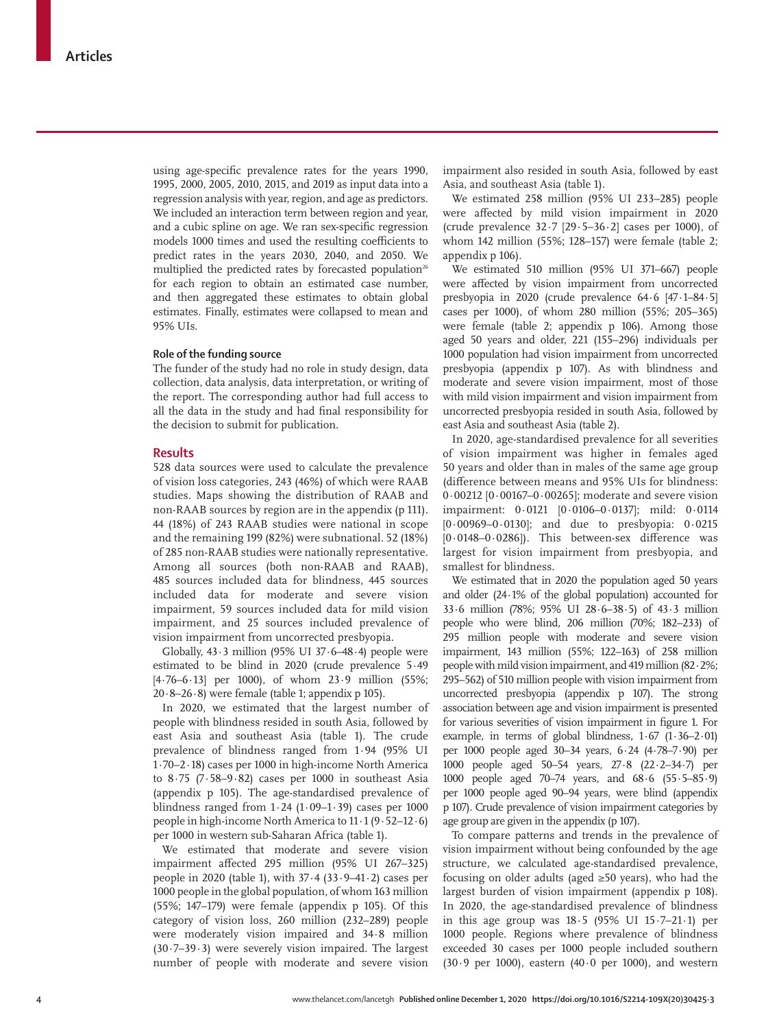using age-specific prevalence rates for the years 1990, 1995, 2000, 2005, 2010, 2015, and 2019 as input data into a regression analysis with year, region, and age as predictors. We included an interaction term between region and year, and a cubic spline on age. We ran sex-specific regression models 1000 times and used the resulting coefficients to predict rates in the years 2030, 2040, and 2050. We multiplied the predicted rates by forecasted population<sup>26</sup> for each region to obtain an estimated case number, and then aggregated these estimates to obtain global estimates. Finally, estimates were collapsed to mean and 95% UIs.

## **Role of the funding source**

The funder of the study had no role in study design, data collection, data analysis, data interpretation, or writing of the report. The corresponding author had full access to all the data in the study and had final responsibility for the decision to submit for publication.

# **Results**

528 data sources were used to calculate the prevalence of vision loss categories, 243 (46%) of which were RAAB studies. Maps showing the distribution of RAAB and non-RAAB sources by region are in the appendix (p 111). 44 (18%) of 243 RAAB studies were national in scope and the remaining 199 (82%) were subnational. 52 (18%) of 285 non-RAAB studies were nationally representative. Among all sources (both non-RAAB and RAAB), 485 sources included data for blindness, 445 sources included data for moderate and severe vision impairment, 59 sources included data for mild vision impairment, and 25 sources included prevalence of vision impairment from uncorrected presbyopia.

Globally,  $43.3$  million (95% UI  $37.6-48.4$ ) people were estimated to be blind in 2020 (crude prevalence 5·49 [4·76–6·13] per 1000), of whom 23·9 million (55%;  $20.8-26.8$ ) were female (table 1; appendix p 105).

In 2020, we estimated that the largest number of people with blindness resided in south Asia, followed by east Asia and southeast Asia (table 1). The crude prevalence of blindness ranged from 1·94 (95% UI 1·70–2·18) cases per 1000 in high-income North America to  $8.75$  (7 $.58-9.82$ ) cases per 1000 in southeast Asia (appendix p 105). The age-standardised prevalence of blindness ranged from  $1.24$  ( $1.09-1.39$ ) cases per 1000 people in high-income North America to 11·1 (9·52–12·6) per 1000 in western sub-Saharan Africa (table 1).

We estimated that moderate and severe vision impairment affected 295 million (95% UI 267–325) people in 2020 (table 1), with  $37.4$   $(33.9-41.2)$  cases per 1000 people in the global population, of whom 163 million (55%; 147–179) were female (appendix p 105). Of this category of vision loss, 260 million (232–289) people were moderately vision impaired and 34·8 million (30·7–39·3) were severely vision impaired. The largest number of people with moderate and severe vision impairment also resided in south Asia, followed by east Asia, and southeast Asia (table 1).

We estimated 258 million (95% UI 233–285) people were affected by mild vision impairment in 2020 (crude prevalence  $32.7$  [29.5–36.2] cases per 1000), of whom 142 million (55%; 128–157) were female (table 2; appendix p 106).

We estimated 510 million (95% UI 371–667) people were affected by vision impairment from uncorrected presbyopia in 2020 (crude prevalence 64·6 [47·1–84·5] cases per 1000), of whom 280 million (55%; 205–365) were female (table 2; appendix p 106). Among those aged 50 years and older, 221 (155–296) individuals per 1000 population had vision impairment from uncorrected presbyopia (appendix p 107). As with blindness and moderate and severe vision impairment, most of those with mild vision impairment and vision impairment from uncorrected presbyopia resided in south Asia, followed by east Asia and southeast Asia (table 2).

In 2020, age-standardised prevalence for all severities of vision impairment was higher in females aged 50 years and older than in males of the same age group (difference between means and 95% UIs for blindness: 0·00212 [0·00167–0·00265]; moderate and severe vision impairment: 0·0121 [0·0106–0·0137]; mild: 0·0114 [0·00969–0·0130]; and due to presbyopia: 0·0215 [0·0148–0·0286]). This between-sex difference was largest for vision impairment from presbyopia, and smallest for blindness.

We estimated that in 2020 the population aged 50 years and older (24·1% of the global population) accounted for 33·6 million (78%; 95% UI 28·6–38·5) of 43·3 million people who were blind, 206 million (70%; 182–233) of 295 million people with moderate and severe vision impairment, 143 million (55%; 122–163) of 258 million people with mild vision impairment, and 419 million (82·2%; 295–562) of 510 million people with vision impairment from uncorrected presbyopia (appendix p 107). The strong association between age and vision impairment is presented for various severities of vision impairment in figure 1. For example, in terms of global blindness, 1·67 (1·36–2·01) per 1000 people aged 30–34 years, 6·24 (4·78–7·90) per 1000 people aged 50–54 years, 27·8 (22·2–34·7) per 1000 people aged 70–74 years, and 68·6 (55·5–85·9) per 1000 people aged 90–94 years, were blind (appendix p 107). Crude prevalence of vision impairment categories by age group are given in the appendix (p 107).

To compare patterns and trends in the prevalence of vision impairment without being confounded by the age structure, we calculated age-standardised prevalence, focusing on older adults (aged  $\geq 50$  years), who had the largest burden of vision impairment (appendix p 108). In 2020, the age-standardised prevalence of blindness in this age group was  $18.5$  (95% UI  $15.7-21.1$ ) per 1000 people. Regions where prevalence of blindness exceeded 30 cases per 1000 people included southern (30 $\cdot$ 9 per 1000), eastern (40 $\cdot$ 0 per 1000), and western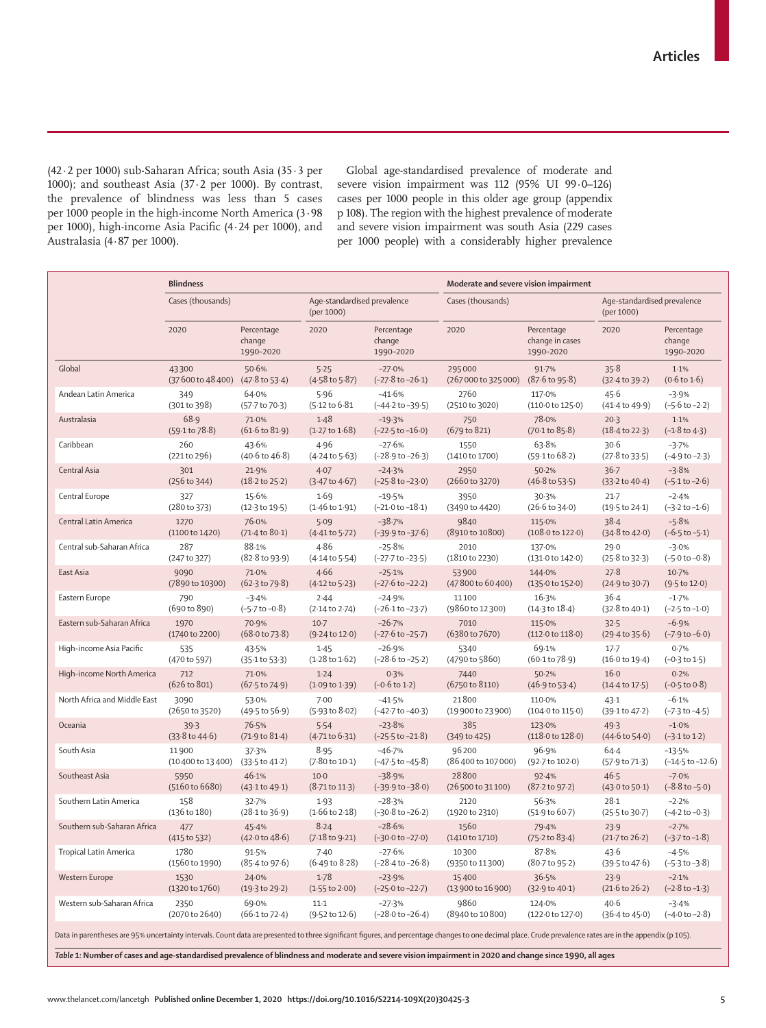(42·2 per 1000) sub-Saharan Africa; south Asia (35·3 per 1000); and southeast Asia (37·2 per 1000). By contrast, the prevalence of blindness was less than 5 cases per 1000 people in the high-income North America (3·98 per 1000), high-income Asia Pacific (4·24 per 1000), and Australasia (4·87 per 1000).

Global age-standardised prevalence of moderate and severe vision impairment was 112 (95% UI 99·0–126) cases per 1000 people in this older age group (appendix p 108). The region with the highest prevalence of moderate and severe vision impairment was south Asia (229 cases per 1000 people) with a considerably higher prevalence

|                                                                                                                                                                                                            | <b>Blindness</b>               |                                   |                                           |                                   | Moderate and severe vision impairment |                                            |                                           |                                   |  |
|------------------------------------------------------------------------------------------------------------------------------------------------------------------------------------------------------------|--------------------------------|-----------------------------------|-------------------------------------------|-----------------------------------|---------------------------------------|--------------------------------------------|-------------------------------------------|-----------------------------------|--|
|                                                                                                                                                                                                            | Cases (thousands)              |                                   | Age-standardised prevalence<br>(per 1000) |                                   | Cases (thousands)                     |                                            | Age-standardised prevalence<br>(per 1000) |                                   |  |
|                                                                                                                                                                                                            | 2020                           | Percentage<br>change<br>1990-2020 | 2020                                      | Percentage<br>change<br>1990-2020 | 2020                                  | Percentage<br>change in cases<br>1990-2020 | 2020                                      | Percentage<br>change<br>1990-2020 |  |
| Global                                                                                                                                                                                                     | 43300                          | 50.6%                             | 5.25                                      | $-27.0%$                          | 295000                                | 91.7%                                      | 35.8                                      | 1.1%                              |  |
|                                                                                                                                                                                                            | (37600 to 48400)               | $(47.8 \text{ to } 53.4)$         | (4.58 to 5.87)                            | $(-27.8 \text{ to } -26.1)$       | (267000 to 325000)                    | $(87.6 \text{ to } 95.8)$                  | (32.4 to 39.2)                            | $(0.6 \text{ to } 1.6)$           |  |
| Andean Latin America                                                                                                                                                                                       | 349                            | 64.0%                             | 5.96                                      | $-41.6%$                          | 2760                                  | 117.0%                                     | 45.6                                      | $-3.9%$                           |  |
|                                                                                                                                                                                                            | (301 to 398)                   | (57.7 to 70.3)                    | (5.12 to 6.81)                            | $(-44.2 \text{ to } -39.5)$       | (2510 to 3020)                        | (110.0 to 125.0)                           | $(41.4 \text{ to } 49.9)$                 | $(-5.6 \text{ to } -2.2)$         |  |
| Australasia                                                                                                                                                                                                | 68.9                           | 71.0%                             | 1.48                                      | $-19.3%$                          | 750                                   | 78.0%                                      | 20.3                                      | 1.1%                              |  |
|                                                                                                                                                                                                            | (59.1 to 78.8)                 | $(61.6 \text{ to } 81.9)$         | $(1.27 \text{ to } 1.68)$                 | $(-22.5 \text{ to } -16.0)$       | (679 to 821)                          | (70.1 to 85.8)                             | $(18.4 \text{ to } 22.3)$                 | $(-1.8 \text{ to } 4.3)$          |  |
| Caribbean                                                                                                                                                                                                  | 260                            | 43.6%                             | 4.96                                      | $-27.6%$                          | 1550                                  | 63.8%                                      | 30.6                                      | $-3.7%$                           |  |
|                                                                                                                                                                                                            | (221 to 296)                   | $(40.6 \text{ to } 46.8)$         | $(4.24 \text{ to } 5.63)$                 | $(-28.9 \text{ to } -26.3)$       | (1410 to 1700)                        | (59.1 to 68.2)                             | (27.8 to 33.5)                            | $(-4.9 \text{ to } -2.3)$         |  |
| Central Asia                                                                                                                                                                                               | 301                            | 21.9%                             | 4.07                                      | $-24.3%$                          | 2950                                  | 50.2%                                      | $36 - 7$                                  | $-3.8%$                           |  |
|                                                                                                                                                                                                            | (256 to 344)                   | $(18.2 \text{ to } 25.2)$         | $(3.47 \text{ to } 4.67)$                 | $(-25.8 \text{ to } -23.0)$       | (2660 to 3270)                        | $(46.8 \text{ to } 53.5)$                  | $(33.2 \text{ to } 40.4)$                 | $(-5.1 to -2.6)$                  |  |
| Central Europe                                                                                                                                                                                             | 327                            | 15.6%                             | 1.69                                      | $-19.5%$                          | 3950                                  | 30.3%                                      | $21 - 7$                                  | $-2.4%$                           |  |
|                                                                                                                                                                                                            | (280 to 373)                   | $(12.3 \text{ to } 19.5)$         | $(1.46 \text{ to } 1.91)$                 | $(-21.0 \text{ to } -18.1)$       | (3490 to 4420)                        | (26.6 to 34.0)                             | $(19.5 \text{ to } 24.1)$                 | $(-3.2 \text{ to } -1.6)$         |  |
| Central Latin America                                                                                                                                                                                      | 1270                           | 76.0%                             | 5.09                                      | $-38.7%$                          | 9840                                  | 115.0%                                     | 38.4                                      | $-5.8%$                           |  |
|                                                                                                                                                                                                            | (1100 to 1420)                 | (71.4 to 80.1)                    | (4.41 to 5.72)                            | $(-39.9 to -37.6)$                | (8910 to 10800)                       | (108.0 to 122.0)                           | $(34.8 \text{ to } 42.0)$                 | $(-6.5 \text{ to } -5.1)$         |  |
| Central sub-Saharan Africa                                                                                                                                                                                 | 287                            | 88.1%                             | 4.86                                      | $-25.8%$                          | 2010                                  | 137.0%                                     | 29.0                                      | $-3.0%$                           |  |
|                                                                                                                                                                                                            | (247 to 327)                   | $(82.8 \text{ to } 93.9)$         | $(4.14 \text{ to } 5.54)$                 | $(-27.7$ to $-23.5)$              | (1810 to 2230)                        | $(131.0 \text{ to } 142.0)$                | (25.8 to 32.3)                            | $(-5.0 \text{ to } -0.8)$         |  |
| East Asia                                                                                                                                                                                                  | 9090                           | 71.0%                             | 4.66                                      | $-25.1%$                          | 53900                                 | 144.0%                                     | 27.8                                      | 10.7%                             |  |
|                                                                                                                                                                                                            | (7890 to 10300)                | $(62.3 \text{ to } 79.8)$         | $(4.12 \text{ to } 5.23)$                 | $(-27.6$ to $-22.2)$              | (47800 to 60400)                      | (135.0 to 152.0)                           | (24.9 to 30.7)                            | $(9.5 \text{ to } 12.0)$          |  |
| Eastern Europe                                                                                                                                                                                             | 790                            | $-3.4%$                           | 2.44                                      | $-24.9%$                          | 11100                                 | 16.3%                                      | $36-4$                                    | $-1.7%$                           |  |
|                                                                                                                                                                                                            | (690 to 890)                   | $(-5.7 \text{ to } -0.8)$         | $(2.14 \text{ to } 2.74)$                 | $(-26.1 to -23.7)$                | (9860 to 12300)                       | $(14.3 \text{ to } 18.4)$                  | (32.8 to 40.1)                            | $(-2.5 \text{ to } -1.0)$         |  |
| Eastern sub-Saharan Africa                                                                                                                                                                                 | 1970                           | 70.9%                             | $10-7$                                    | $-26.7%$                          | 7010                                  | 115.0%                                     | 32.5                                      | $-6.9%$                           |  |
|                                                                                                                                                                                                            | (1740 to 2200)                 | $(68.0 \text{ to } 73.8)$         | $(9.24 \text{ to } 12.0)$                 | $(-27.6 \text{ to } -25.7)$       | (6380 to 7670)                        | (112.0 to 118.0)                           | (29.4 to 35.6)                            | $(-7.9 to -6.0)$                  |  |
| High-income Asia Pacific                                                                                                                                                                                   | 535                            | 43.5%                             | 1.45                                      | $-26.9%$                          | 5340                                  | 69.1%                                      | $17 - 7$                                  | 0.7%                              |  |
|                                                                                                                                                                                                            | (470 to 597)                   | (35.1 to 53.3)                    | $(1.28 \text{ to } 1.62)$                 | $(-28.6 \text{ to } -25.2)$       | (4790 to 5860)                        | (60.1 to 78.9)                             | $(16.0 \text{ to } 19.4)$                 | $(-0.3 \text{ to } 1.5)$          |  |
| High-income North America                                                                                                                                                                                  | 712                            | 71.0%                             | 1.24                                      | 0.3%                              | 7440                                  | 50.2%                                      | 16.0                                      | 0.2%                              |  |
|                                                                                                                                                                                                            | (626 to 801)                   | $(67.5 \text{ to } 74.9)$         | $(1.09 \text{ to } 1.39)$                 | $(-0.6 \text{ to } 1.2)$          | (6750 to 8110)                        | $(46.9 \text{ to } 53.4)$                  | $(14.4 \text{ to } 17.5)$                 | $(-0.5 \text{ to } 0.8)$          |  |
| North Africa and Middle East                                                                                                                                                                               | 3090                           | 53.0%                             | 7.00                                      | $-41.5%$                          | 21800                                 | 110.0%                                     | 43.1                                      | $-6.1%$                           |  |
|                                                                                                                                                                                                            | (2650 to 3520)                 | $(49.5 \text{ to } 56.9)$         | (5.93 to 8.02)                            | $(-42.7 \text{ to } -40.3)$       | (19 900 to 23 900)                    | $(104.0 \text{ to } 115.0)$                | (39.1 to 47.2)                            | $(-7.3 \text{ to } -4.5)$         |  |
| Oceania                                                                                                                                                                                                    | 39.3                           | 76.5%                             | 5.54                                      | $-23.8%$                          | 385                                   | 123.0%                                     | 49.3                                      | $-1.0%$                           |  |
|                                                                                                                                                                                                            | $(33.8 \text{ to } 44.6)$      | (71.9 to 81.4)                    | (4.71 to 6.31)                            | $(-25.5 \text{ to } -21.8)$       | (349 to 425)                          | $(118.0 \text{ to } 128.0)$                | $(44.6 \text{ to } 54.0)$                 | $(-3.1 \text{ to } 1.2)$          |  |
| South Asia                                                                                                                                                                                                 | 11900                          | 37.3%                             | 8.95                                      | $-46.7%$                          | 96200                                 | 96.9%                                      | $64 - 4$                                  | $-13.5%$                          |  |
|                                                                                                                                                                                                            | $(10\,400\,{\rm to}\,13\,400)$ | $(33.5 \text{ to } 41.2)$         | $(7.80 \text{ to } 10.1)$                 | $(-47.5 \text{ to } -45.8)$       | (86 400 to 107 000)                   | (92.7 to 102.0)                            | $(57.9 \text{ to } 71.3)$                 | $(-14.5 \text{ to } -12.6)$       |  |
| Southeast Asia                                                                                                                                                                                             | 5950                           | 46.1%                             | $10-0$                                    | $-38.9%$                          | 28800                                 | 92.4%                                      | 46.5                                      | $-7.0%$                           |  |
|                                                                                                                                                                                                            | (5160 to 6680)                 | (43.1 to 49.1)                    | $(8.71 \text{ to } 11.3)$                 | $(-39.9 to -38.0)$                | (26 500 to 31 100)                    | $(87.2 \text{ to } 97.2)$                  | $(43.0 \text{ to } 50.1)$                 | $(-8.8 \text{ to } -5.0)$         |  |
| Southern Latin America                                                                                                                                                                                     | 158                            | 32.7%                             | 1.93                                      | $-28.3%$                          | 2120                                  | 56.3%                                      | 28.1                                      | $-2.2%$                           |  |
|                                                                                                                                                                                                            | (136 to 180)                   | (28.1 to 36.9)                    | $(1.66 \text{ to } 2.18)$                 | $(-30.8$ to $-26.2)$              | (1920 to 2310)                        | (51.9 to 60.7)                             | (25.5 to 30.7)                            | $(-4.2 \text{ to } -0.3)$         |  |
| Southern sub-Saharan Africa                                                                                                                                                                                | 477                            | 45.4%                             | 8.24                                      | $-28.6%$                          | 1560                                  | 79.4%                                      | 23.9                                      | $-2.7%$                           |  |
|                                                                                                                                                                                                            | (415 to 532)                   | $(42.0 \text{ to } 48.6)$         | $(7.18 \text{ to } 9.21)$                 | $(-30.0 \text{ to } -27.0)$       | (1410 to 1710)                        | $(75.2 \text{ to } 83.4)$                  | (21.7 to 26.2)                            | $(-3.7 \text{ to } -1.8)$         |  |
| Tropical Latin America                                                                                                                                                                                     | 1780                           | 91.5%                             | 7.40                                      | $-27.6%$                          | 10300                                 | 87.8%                                      | 43.6                                      | $-4.5%$                           |  |
|                                                                                                                                                                                                            | (1560 to 1990)                 | $(85.4 \text{ to } 97.6)$         | $(6.49 \text{ to } 8.28)$                 | $(-28.4 \text{ to } -26.8)$       | (9350 to 11300)                       | $(80.7 \text{ to } 95.2)$                  | $(39.5 \text{ to } 47.6)$                 | $(-5.3 \text{ to } -3.8)$         |  |
| Western Europe                                                                                                                                                                                             | 1530                           | 24.0%                             | 1.78                                      | $-23.9%$                          | 15400                                 | 36.5%                                      | 23.9                                      | $-2.1%$                           |  |
|                                                                                                                                                                                                            | (1320 to 1760)                 | $(19.3 \text{ to } 29.2)$         | $(1.55 \text{ to } 2.00)$                 | $(-25.0 \text{ to } -22.7)$       | (13 900 to 16 900)                    | $(32.9 \text{ to } 40.1)$                  | (21.6 to 26.2)                            | $(-2.8 \text{ to } -1.3)$         |  |
| Western sub-Saharan Africa                                                                                                                                                                                 | 2350                           | 69.0%                             | $11-1$                                    | $-27.3%$                          | 9860                                  | 124.0%                                     | $40-6$                                    | $-3.4%$                           |  |
|                                                                                                                                                                                                            | (2070 to 2640)                 | (66.1 to 72.4)                    | $(9.52 \text{ to } 12.6)$                 | $(-28.0 \text{ to } -26.4)$       | (8940 to 10 800)                      | (122.0 to 127.0)                           | (36.4 to 45.0)                            | $(-4.0 \text{ to } -2.8)$         |  |
| Data in parentheses are 95% uncertainty intervals. Count data are presented to three significant figures, and percentage changes to one decimal place. Crude prevalence rates are in the appendix (p 105). |                                |                                   |                                           |                                   |                                       |                                            |                                           |                                   |  |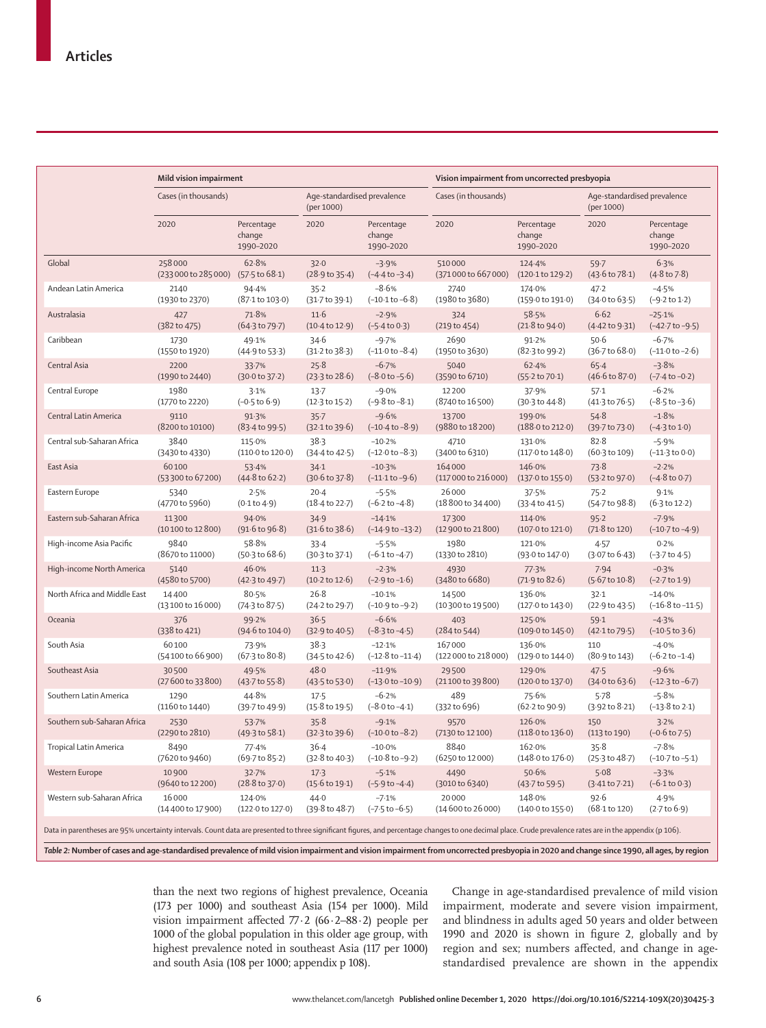|                                                                                                                                                                                                            | Mild vision impairment |                                   |                                           |                                   | Vision impairment from uncorrected presbyopia |                                   |                                           |                                   |
|------------------------------------------------------------------------------------------------------------------------------------------------------------------------------------------------------------|------------------------|-----------------------------------|-------------------------------------------|-----------------------------------|-----------------------------------------------|-----------------------------------|-------------------------------------------|-----------------------------------|
|                                                                                                                                                                                                            | Cases (in thousands)   |                                   | Age-standardised prevalence<br>(per 1000) |                                   | Cases (in thousands)                          |                                   | Age-standardised prevalence<br>(per 1000) |                                   |
|                                                                                                                                                                                                            | 2020                   | Percentage<br>change<br>1990-2020 | 2020                                      | Percentage<br>change<br>1990-2020 | 2020                                          | Percentage<br>change<br>1990-2020 | 2020                                      | Percentage<br>change<br>1990-2020 |
| Global                                                                                                                                                                                                     | 258000                 | 62.8%                             | 32.0                                      | $-3.9%$                           | 510000                                        | $124 - 4%$                        | $59 - 7$                                  | 6.3%                              |
|                                                                                                                                                                                                            | (233000 to 285000)     | $(57.5 \text{ to } 68.1)$         | (28.9 to 35.4)                            | $(-4.4 \text{ to } -3.4)$         | (371 000 to 667 000)                          | (120.1 to 129.2)                  | $(43.6 \text{ to } 78.1)$                 | $(4.8 \text{ to } 7.8)$           |
| Andean Latin America                                                                                                                                                                                       | 2140                   | 94.4%                             | $35 - 2$                                  | $-8.6%$                           | 2740                                          | 174.0%                            | 47.2                                      | $-4.5%$                           |
|                                                                                                                                                                                                            | (1930 to 2370)         | (87-1 to 103-0)                   | (31.7 to 39.1)                            | $(-10.1 to -6.8)$                 | (1980 to 3680)                                | $(159.0 \text{ to } 191.0)$       | $(34.0 \text{ to } 63.5)$                 | $(-9.2 \text{ to } 1.2)$          |
| Australasia                                                                                                                                                                                                | 427                    | 71.8%                             | 11.6                                      | $-2.9%$                           | 324                                           | 58.5%                             | 6.62                                      | $-25.1%$                          |
|                                                                                                                                                                                                            | (382 to 475)           | (64.3 to 79.7)                    | $(10.4 \text{ to } 12.9)$                 | $(-5.4 \text{ to } 0.3)$          | (219 to 454)                                  | $(21.8 \text{ to } 94.0)$         | (4.42 to 9.31)                            | $(-42.7 \text{ to } -9.5)$        |
| Caribbean                                                                                                                                                                                                  | 1730                   | 49.1%                             | 34.6                                      | $-9.7%$                           | 2690                                          | 91.2%                             | $50-6$                                    | $-6.7%$                           |
|                                                                                                                                                                                                            | (1550 to 1920)         | $(44.9 \text{ to } 53.3)$         | $(31.2 \text{ to } 38.3)$                 | $(-11.0 \text{ to } -8.4)$        | (1950 to 3630)                                | $(82.3 \text{ to } 99.2)$         | (36.7 to 68.0)                            | $(-11.0 \text{ to } -2.6)$        |
| Central Asia                                                                                                                                                                                               | 2200                   | 33.7%                             | 25.8                                      | $-6.7%$                           | 5040                                          | 62.4%                             | 65.4                                      | $-3.8%$                           |
|                                                                                                                                                                                                            | (1990 to 2440)         | $(30.0 \text{ to } 37.2)$         | $(23.3 \text{ to } 28.6)$                 | $(-8.0 \text{ to } -5.6)$         | (3590 to 6710)                                | $(55.2 \text{ to } 70.1)$         | $(46.6 \text{ to } 87.0)$                 | $(-7.4 \text{ to } -0.2)$         |
| Central Europe                                                                                                                                                                                             | 1980                   | 3.1%                              | $13 - 7$                                  | $-9.0%$                           | 12200                                         | 37.9%                             | $57-1$                                    | $-6.2%$                           |
|                                                                                                                                                                                                            | (1770 to 2220)         | $(-0.5 \text{ to } 6.9)$          | $(12.3 \text{ to } 15.2)$                 | $(-9.8 \text{ to } -8.1)$         | (8740 to 16 500)                              | $(30.3 \text{ to } 44.8)$         | $(41.3 \text{ to } 76.5)$                 | $(-8.5 \text{ to } -3.6)$         |
| Central Latin America                                                                                                                                                                                      | 9110                   | 91.3%                             | $35 - 7$                                  | $-9.6%$                           | 13700                                         | 199.0%                            | 54.8                                      | $-1.8%$                           |
|                                                                                                                                                                                                            | (8200 to 10100)        | $(83.4 \text{ to } 99.5)$         | (32.1 to 39.6)                            | $(-10.4 \text{ to } -8.9)$        | (9880 to 18 200)                              | (188.0 to 212.0)                  | (39.7 to 73.0)                            | $(-4.3 \text{ to } 1.0)$          |
| Central sub-Saharan Africa                                                                                                                                                                                 | 3840                   | 115.0%                            | 38.3                                      | $-10.2%$                          | 4710                                          | 131.0%                            | 82.8                                      | $-5.9%$                           |
|                                                                                                                                                                                                            | (3430 to 4330)         | (110.0 to 120.0)                  | $(34.4 \text{ to } 42.5)$                 | $(-12.0 \text{ to } -8.3)$        | (3400 to 6310)                                | (117.0 to 148.0)                  | (60.3 to 109)                             | $(-11.3 \text{ to } 0.0)$         |
| East Asia                                                                                                                                                                                                  | 60100                  | 53.4%                             | $34 - 1$                                  | $-10.3%$                          | 164000                                        | 146.0%                            | 73.8                                      | $-2.2%$                           |
|                                                                                                                                                                                                            | (53 300 to 67 200)     | $(44.8 \text{ to } 62.2)$         | $(30.6 \text{ to } 37.8)$                 | $(-11.1 to -9.6)$                 | (117000 to 216000)                            | $(137.0 \text{ to } 155.0)$       | $(53.2 \text{ to } 97.0)$                 | $(-4.8 \text{ to } 0.7)$          |
| Eastern Europe                                                                                                                                                                                             | 5340                   | 2.5%                              | $20-4$                                    | $-5.5%$                           | 26000                                         | 37.5%                             | 75.2                                      | 9.1%                              |
|                                                                                                                                                                                                            | (4770 to 5960)         | (0.1 to 4.9)                      | $(18.4 \text{ to } 22.7)$                 | $(-6.2 \text{ to } -4.8)$         | (18800 to 34400)                              | (33.4 to 41.5)                    | (54.7 to 98.8)                            | $(6.3 \text{ to } 12.2)$          |
| Eastern sub-Saharan Africa                                                                                                                                                                                 | 11300                  | 94.0%                             | 34.9                                      | $-14.1%$                          | 17300                                         | 114.0%                            | 95.2                                      | $-7.9%$                           |
|                                                                                                                                                                                                            | (10100 to 12800)       | $(91.6 \text{ to } 96.8)$         | $(31.6 \text{ to } 38.6)$                 | $(-14.9 \text{ to } -13.2)$       | (12 900 to 21 800)                            | $(107.0 \text{ to } 121.0)$       | (71.8 to 120)                             | $(-10.7 \text{ to } -4.9)$        |
| High-income Asia Pacific                                                                                                                                                                                   | 9840                   | 58.8%                             | 33.4                                      | $-5.5%$                           | 1980                                          | 121.0%                            | 4.57                                      | 0.2%                              |
|                                                                                                                                                                                                            | (8670 to 11000)        | (50-3 to 68-6)                    | $(30.3 \text{ to } 37.1)$                 | $(-6.1 \text{ to } -4.7)$         | (1330 to 2810)                                | $(93.0 \text{ to } 147.0)$        | (3.07 to 6.43)                            | $(-3.7 \text{ to } 4.5)$          |
| High-income North America                                                                                                                                                                                  | 5140                   | 46.0%                             | $11-3$                                    | $-2.3%$                           | 4930                                          | 77.3%                             | 7.94                                      | $-0.3%$                           |
|                                                                                                                                                                                                            | (4580 to 5700)         | (42.3 to 49.7)                    | $(10.2 \text{ to } 12.6)$                 | $(-2.9 \text{ to } -1.6)$         | (3480 to 6680)                                | (71.9 to 82.6)                    | $(5.67 \text{ to } 10.8)$                 | $(-2.7 \text{ to } 1.9)$          |
| North Africa and Middle East                                                                                                                                                                               | 14400                  | 80.5%                             | 26.8                                      | $-10.1%$                          | 14500                                         | 136.0%                            | $32 - 1$                                  | $-14.0%$                          |
|                                                                                                                                                                                                            | (13100 to 16000)       | (74.3 to 87.5)                    | (24.2 to 29.7)                            | $(-10.9 to -9.2)$                 | (10 300 to 19 500)                            | $(127.0 \text{ to } 143.0)$       | (22.9 to 43.5)                            | $(-16.8 \text{ to } -11.5)$       |
| Oceania                                                                                                                                                                                                    | 376                    | 99.2%                             | $36 - 5$                                  | $-6.6%$                           | 403                                           | 125.0%                            | 59.1                                      | $-4.3%$                           |
|                                                                                                                                                                                                            | (338 to 421)           | (94.6 to 104.0)                   | $(32.9 \text{ to } 40.5)$                 | $(-8.3 \text{ to } -4.5)$         | (284 to 544)                                  | (109.0 to 145.0)                  | (42.1 to 79.5)                            | $(-10.5 \text{ to } 3.6)$         |
| South Asia                                                                                                                                                                                                 | 60100                  | 73.9%                             | 38.3                                      | $-12.1%$                          | 167000                                        | 136.0%                            | 110                                       | $-4.0%$                           |
|                                                                                                                                                                                                            | (54100 to 66 900)      | (67.3 to 80.8)                    | $(34.5 \text{ to } 42.6)$                 | $(-12.8 \text{ to } -11.4)$       | (122 000 to 218 000)                          | (129.0 to 144.0)                  | (80.9 to 143)                             | $(-6.2 \text{ to } -1.4)$         |
| Southeast Asia                                                                                                                                                                                             | 30500                  | 49.5%                             | 48.0                                      | $-11.9%$                          | 29500                                         | 129.0%                            | 47.5                                      | $-9.6%$                           |
|                                                                                                                                                                                                            | (27600 to 33800)       | (43.7 to 55.8)                    | $(43.5 \text{ to } 53.0)$                 | $(-13.0 \text{ to } -10.9)$       | (21100 to 39 800)                             | (120.0 to 137.0)                  | $(34.0 \text{ to } 63.6)$                 | $(-12.3 \text{ to } -6.7)$        |
| Southern Latin America                                                                                                                                                                                     | 1290                   | 44.8%                             | 17.5                                      | $-6.2%$                           | 489                                           | 75.6%                             | 5.78                                      | $-5.8%$                           |
|                                                                                                                                                                                                            | (1160 to 1440)         | (39.7 to 49.9)                    | $(15.8 \text{ to } 19.5)$                 | $(-8.0 \text{ to } -4.1)$         | (332 to 696)                                  | $(62.2 \text{ to } 90.9)$         | (3.92 to 8.21)                            | $(-13.8 \text{ to } 2.1)$         |
| Southern sub-Saharan Africa                                                                                                                                                                                | 2530                   | 53.7%                             | 35.8                                      | $-9.1%$                           | 9570                                          | 126.0%                            | 150                                       | 3.2%                              |
|                                                                                                                                                                                                            | (2290 to 2810)         | (49.3 to 58.1)                    | (32.3 to 39.6)                            | $(-10.0 \text{ to } -8.2)$        | (7130 to 12 100)                              | $(118.0 \text{ to } 136.0)$       | (113 to 190)                              | $(-0.6 \text{ to } 7.5)$          |
| Tropical Latin America                                                                                                                                                                                     | 8490                   | 77.4%                             | $36-4$                                    | $-10.0%$                          | 8840                                          | 162.0%                            | 35.8                                      | $-7.8%$                           |
|                                                                                                                                                                                                            | (7620 to 9460)         | (69.7 to 85.2)                    | $(32.8 \text{ to } 40.3)$                 | $(-10.8$ to $-9.2)$               | (6250 to 12000)                               | $(148.0 \text{ to } 176.0)$       | (25.3 to 48.7)                            | $(-10.7 to -5.1)$                 |
| Western Europe                                                                                                                                                                                             | 10900                  | 32.7%                             | $17-3$                                    | $-5.1%$                           | 4490                                          | 50.6%                             | 5.08                                      | $-3.3%$                           |
|                                                                                                                                                                                                            | (9640 to 12 200)       | $(28.8 \text{ to } 37.0)$         | $(15.6 \text{ to } 19.1)$                 | $(-5.9 \text{ to } -4.4)$         | (3010 to 6340)                                | (43.7 to 59.5)                    | $(3.41 \text{ to } 7.21)$                 | $(-6.1 to 0.3)$                   |
| Western sub-Saharan Africa                                                                                                                                                                                 | 16000                  | 124.0%                            | 44.0                                      | $-7.1%$                           | 20000                                         | 148.0%                            | 92.6                                      | 4.9%                              |
|                                                                                                                                                                                                            | (14 400 to 17 900)     | (122.0 to 127.0)                  | $(39.8 \text{ to } 48.7)$                 | $(-7.5 \text{ to } -6.5)$         | (14600 to 26000)                              | (140.0 to 155.0)                  | (68.1 to 120)                             | (2.7 to 6.9)                      |
| Data in parentheses are 95% uncertainty intervals. Count data are presented to three significant figures, and percentage changes to one decimal place. Crude prevalence rates are in the appendix (p 106). |                        |                                   |                                           |                                   |                                               |                                   |                                           |                                   |

than the next two regions of highest prevalence, Oceania (173 per 1000) and southeast Asia (154 per 1000). Mild vision impairment affected 77·2 (66·2–88·2) people per 1000 of the global population in this older age group, with highest prevalence noted in southeast Asia (117 per 1000) and south Asia (108 per 1000; appendix p 108).

Change in age-standardised prevalence of mild vision impairment, moderate and severe vision impairment, and blindness in adults aged 50 years and older between 1990 and 2020 is shown in figure 2, globally and by region and sex; numbers affected, and change in agestandardised prevalence are shown in the appendix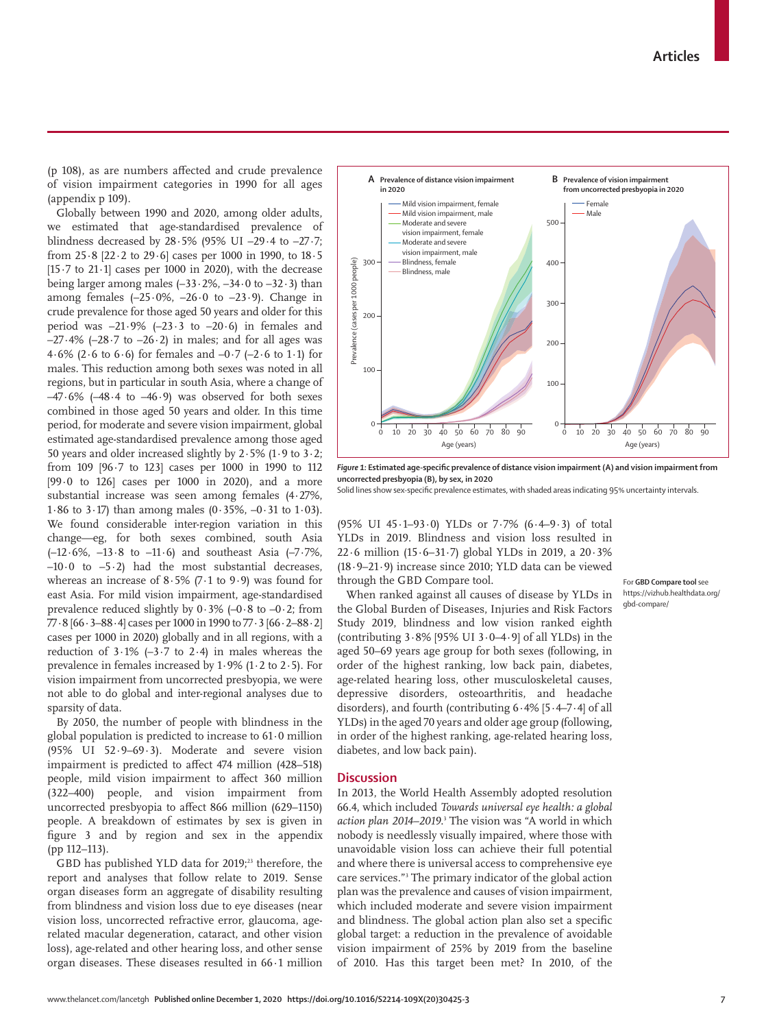(p 108), as are numbers affected and crude prevalence of vision impairment categories in 1990 for all ages (appendix p 109).

Globally between 1990 and 2020, among older adults, we estimated that age-standardised prevalence of blindness decreased by  $28.5\%$  (95% UI –29.4 to –27.7; from 25·8 [22·2 to 29·6] cases per 1000 in 1990, to 18·5  $[15.7$  to  $21.1]$  cases per 1000 in 2020), with the decrease being larger among males  $(-33.2\%, -34.0$  to  $-32.3)$  than among females  $(-25.0\%, -26.0 \text{ to } -23.9)$ . Change in crude prevalence for those aged 50 years and older for this period was  $-21.9\%$  ( $-23.3$  to  $-20.6$ ) in females and  $-27.4\%$  ( $-28.7$  to  $-26.2$ ) in males; and for all ages was 4.6% (2.6 to 6.6) for females and  $-0.7$  ( $-2.6$  to 1.1) for males. This reduction among both sexes was noted in all regions, but in particular in south Asia, where a change of  $-47.6\%$  ( $-48.4$  to  $-46.9$ ) was observed for both sexes combined in those aged 50 years and older. In this time period, for moderate and severe vision impairment, global estimated age-standardised prevalence among those aged 50 years and older increased slightly by 2·5% (1·9 to 3·2; from 109 [96·7 to 123] cases per 1000 in 1990 to 112 [99·0 to 126] cases per 1000 in 2020), and a more substantial increase was seen among females (4·27%, 1.86 to 3.17) than among males  $(0.35\%, -0.31$  to 1.03). We found considerable inter-region variation in this change—eg, for both sexes combined, south Asia (–12·6%, –13·8 to –11·6) and southeast Asia (–7·7%,  $-10.0$  to  $-5.2$ ) had the most substantial decreases, whereas an increase of 8·5% (7·1 to 9·9) was found for east Asia. For mild vision impairment, age-standardised prevalence reduced slightly by  $0.3\%$  (– $0.8$  to – $0.2$ ; from 77·8 [66·3–88·4] cases per 1000 in 1990 to 77·3 [66·2–88·2] cases per 1000 in 2020) globally and in all regions, with a reduction of  $3.1\%$  (-3.7 to 2.4) in males whereas the prevalence in females increased by 1·9% (1·2 to 2·5). For vision impairment from uncorrected presbyopia, we were not able to do global and inter-regional analyses due to sparsity of data.

By 2050, the number of people with blindness in the global population is predicted to increase to 61·0 million (95% UI 52·9–69·3). Moderate and severe vision impairment is predicted to affect 474 million (428–518) people, mild vision impairment to affect 360 million (322–400) people, and vision impairment from uncorrected presbyopia to affect 866 million (629–1150) people. A breakdown of estimates by sex is given in figure 3 and by region and sex in the appendix (pp 112–113).

GBD has published YLD data for 2019;<sup>23</sup> therefore, the report and analyses that follow relate to 2019. Sense organ diseases form an aggregate of disability resulting from blindness and vision loss due to eye diseases (near vision loss, uncorrected refractive error, glaucoma, agerelated macular degeneration, cataract, and other vision loss), age-related and other hearing loss, and other sense organ diseases. These diseases resulted in 66·1 million



*Figure 1:* **Estimated age-specific prevalence of distance vision impairment (A) and vision impairment from uncorrected presbyopia (B), by sex, in 2020**

Solid lines show sex-specific prevalence estimates, with shaded areas indicating 95% uncertainty intervals.

(95% UI 45·1–93·0) YLDs or 7·7% (6·4–9·3) of total YLDs in 2019. Blindness and vision loss resulted in 22·6 million (15·6–31·7) global YLDs in 2019, a 20·3% (18·9–21·9) increase since 2010; YLD data can be viewed through the [GBD Compare tool.](https://vizhub.healthdata.org/gbd-compare/)

When ranked against all causes of disease by YLDs in the Global Burden of Diseases, Injuries and Risk Factors Study 2019, blindness and low vision ranked eighth (contributing  $3.8\%$  [95% UI  $3.0-4.9$ ] of all YLDs) in the aged 50–69 years age group for both sexes (following**,** in order of the highest ranking, low back pain, diabetes, age-related hearing loss, other musculoskeletal causes, depressive disorders, osteoarthritis, and headache disorders), and fourth (contributing 6·4% [5·4–7·4] of all YLDs) in the aged 70 years and older age group (following**,** in order of the highest ranking, age-related hearing loss, diabetes, and low back pain).

## **Discussion**

In 2013, the World Health Assembly adopted resolution 66.4, which included *Towards universal eye health: a global*  action plan 2014–2019.<sup>3</sup> The vision was "A world in which nobody is needlessly visually impaired, where those with unavoidable vision loss can achieve their full potential and where there is universal access to comprehensive eye care services."3 The primary indicator of the global action plan was the prevalence and causes of vision impairment, which included moderate and severe vision impairment and blindness. The global action plan also set a specific global target: a reduction in the prevalence of avoidable vision impairment of 25% by 2019 from the baseline of 2010. Has this target been met? In 2010, of the

For **GBD Compare tool** see [https://vizhub.healthdata.org/](https://vizhub.healthdata.org/gbd-compare/) [gbd-compare/](https://vizhub.healthdata.org/gbd-compare/)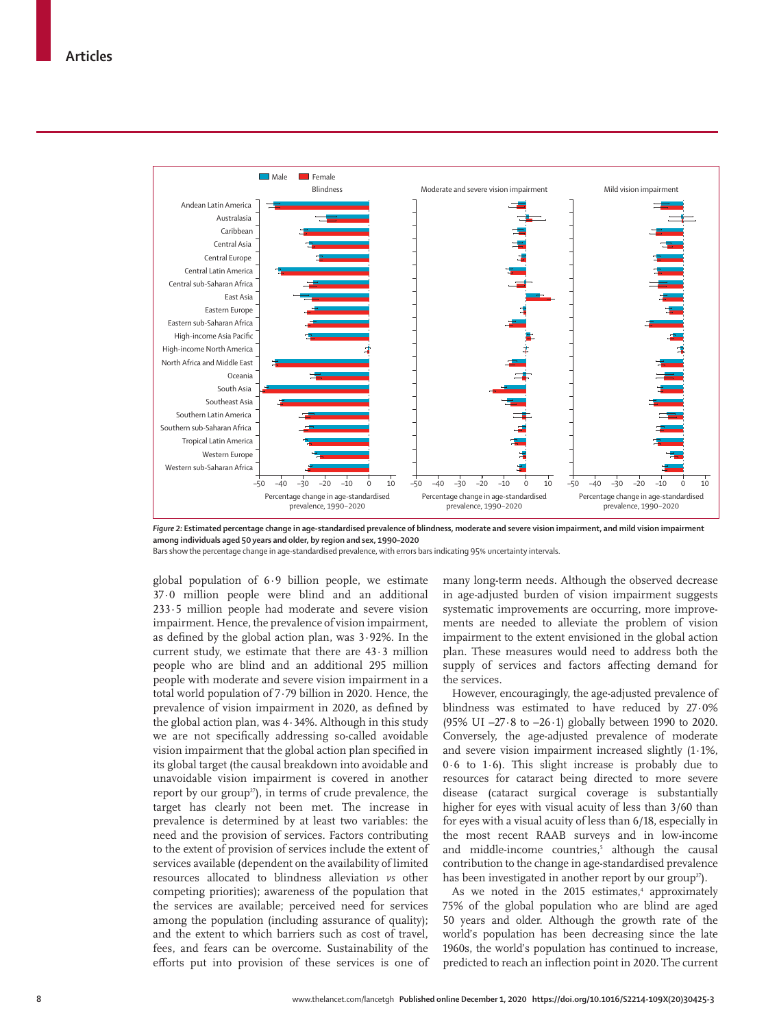

*Figure 2:* **Estimated percentage change in age-standardised prevalence of blindness, moderate and severe vision impairment, and mild vision impairment among individuals aged 50 years and older, by region and sex, 1990–2020**

Bars show the percentage change in age-standardised prevalence, with errors bars indicating 95% uncertainty intervals.

global population of 6·9 billion people, we estimate 37·0 million people were blind and an additional 233·5 million people had moderate and severe vision impairment. Hence, the prevalence of vision impairment, as defined by the global action plan, was 3·92%. In the current study, we estimate that there are 43·3 million people who are blind and an additional 295 million people with moderate and severe vision impairment in a total world population of 7·79 billion in 2020. Hence, the prevalence of vision impairment in 2020, as defined by the global action plan, was 4·34%. Although in this study we are not specifically addressing so-called avoidable vision impairment that the global action plan specified in its global target (the causal breakdown into avoidable and unavoidable vision impairment is covered in another report by our group<sup> $27$ </sup>), in terms of crude prevalence, the target has clearly not been met. The increase in prevalence is determined by at least two variables: the need and the provision of services. Factors contributing to the extent of provision of services include the extent of services available (dependent on the availability of limited resources allocated to blindness alleviation *vs* other competing priorities); awareness of the population that the services are available; perceived need for services among the population (including assurance of quality); and the extent to which barriers such as cost of travel, fees, and fears can be overcome. Sustainability of the efforts put into provision of these services is one of many long-term needs. Although the observed decrease in age-adjusted burden of vision impairment suggests systematic improvements are occurring, more improvements are needed to alleviate the problem of vision impairment to the extent envisioned in the global action plan. These measures would need to address both the supply of services and factors affecting demand for the services.

However, encouragingly, the age-adjusted prevalence of blindness was estimated to have reduced by 27·0% (95% UI –27·8 to –26·1) globally between 1990 to 2020. Conversely, the age-adjusted prevalence of moderate and severe vision impairment increased slightly (1·1%, 0·6 to 1·6). This slight increase is probably due to resources for cataract being directed to more severe disease (cataract surgical coverage is substantially higher for eyes with visual acuity of less than 3/60 than for eyes with a visual acuity of less than 6/18, especially in the most recent RAAB surveys and in low-income and middle-income countries,<sup>5</sup> although the causal contribution to the change in age-standardised prevalence has been investigated in another report by our group<sup>27</sup>).

As we noted in the 2015 estimates,<sup>4</sup> approximately 75% of the global population who are blind are aged 50 years and older. Although the growth rate of the world's population has been decreasing since the late 1960s, the world's population has continued to increase, predicted to reach an inflection point in 2020. The current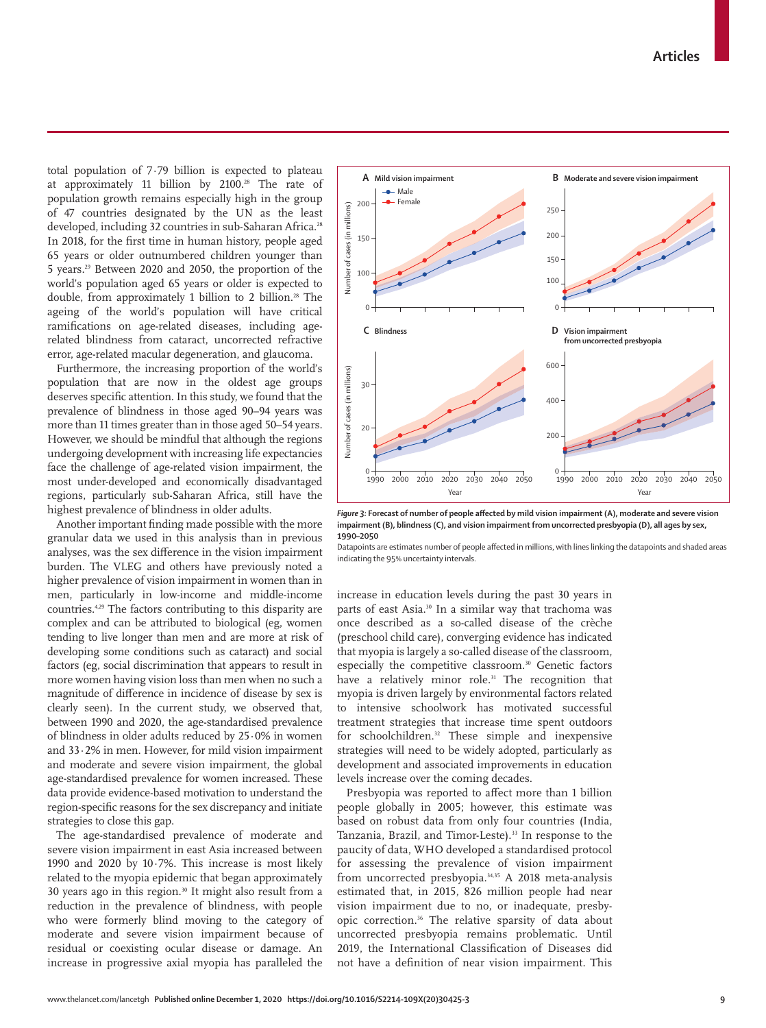total population of 7·79 billion is expected to plateau at approximately 11 billion by 2100.<sup>28</sup> The rate of population growth remains especially high in the group of 47 countries designated by the UN as the least developed, including 32 countries in sub-Saharan Africa.<sup>28</sup> In 2018, for the first time in human history, people aged 65 years or older outnumbered children younger than 5 years. 29 Between 2020 and 2050, the proportion of the world's population aged 65 years or older is expected to double, from approximately 1 billion to 2 billion.<sup>28</sup> The ageing of the world's population will have critical ramifications on age-related diseases, including agerelated blindness from cataract, uncorrected refractive error, age-related macular degeneration, and glaucoma.

Furthermore, the increasing proportion of the world's population that are now in the oldest age groups deserves specific attention. In this study, we found that the prevalence of blindness in those aged 90–94 years was more than 11 times greater than in those aged 50–54 years. However, we should be mindful that although the regions undergoing development with increasing life expectancies face the challenge of age-related vision impairment, the most under-developed and economically disadvantaged regions, particularly sub-Saharan Africa, still have the highest prevalence of blindness in older adults.

Another important finding made possible with the more granular data we used in this analysis than in previous analyses, was the sex difference in the vision impairment burden. The VLEG and others have previously noted a higher prevalence of vision impairment in women than in men, particularly in low-income and middle-income countries.4,29 The factors contributing to this disparity are complex and can be attributed to biological (eg, women tending to live longer than men and are more at risk of developing some conditions such as cataract) and social factors (eg, social discrimination that appears to result in more women having vision loss than men when no such a magnitude of difference in incidence of disease by sex is clearly seen). In the current study, we observed that, between 1990 and 2020, the age-standardised prevalence of blindness in older adults reduced by 25·0% in women and 33·2% in men. However, for mild vision impairment and moderate and severe vision impairment, the global age-standardised prevalence for women increased. These data provide evidence-based motivation to understand the region-specific reasons for the sex discrepancy and initiate strategies to close this gap.

The age-standardised prevalence of moderate and severe vision impairment in east Asia increased between 1990 and 2020 by 10·7%. This increase is most likely related to the myopia epidemic that began approximately 30 years ago in this region. $30$  It might also result from a reduction in the prevalence of blindness, with people who were formerly blind moving to the category of moderate and severe vision impairment because of residual or coexisting ocular disease or damage. An increase in progressive axial myopia has paralleled the



*Figure 3:* **Forecast of number of people affected by mild vision impairment (A), moderate and severe vision impairment (B), blindness (C), and vision impairment from uncorrected presbyopia (D), all ages by sex, 1990–2050**

Datapoints are estimates number of people affected in millions, with lines linking the datapoints and shaded areas indicating the 95% uncertainty intervals.

increase in education levels during the past 30 years in parts of east Asia.30 In a similar way that trachoma was once described as a so-called disease of the crèche (preschool child care), converging evidence has indicated that myopia is largely a so-called disease of the classroom, especially the competitive classroom.<sup>30</sup> Genetic factors have a relatively minor role.<sup>31</sup> The recognition that myopia is driven largely by environmental factors related to intensive schoolwork has motivated successful treatment strategies that increase time spent outdoors for schoolchildren.<sup>32</sup> These simple and inexpensive strategies will need to be widely adopted, particularly as development and associated improvements in education levels increase over the coming decades.

Presbyopia was reported to affect more than 1 billion people globally in 2005; however, this estimate was based on robust data from only four countries (India, Tanzania, Brazil, and Timor-Leste).<sup>33</sup> In response to the paucity of data, WHO developed a standardised protocol for assessing the prevalence of vision impairment from uncorrected presbyopia.<sup>34,35</sup> A 2018 meta-analysis estimated that, in 2015, 826 million people had near vision impairment due to no, or inadequate, presbyopic correction.36 The relative sparsity of data about uncorrected presbyopia remains problematic. Until 2019, the International Classification of Diseases did not have a definition of near vision impairment. This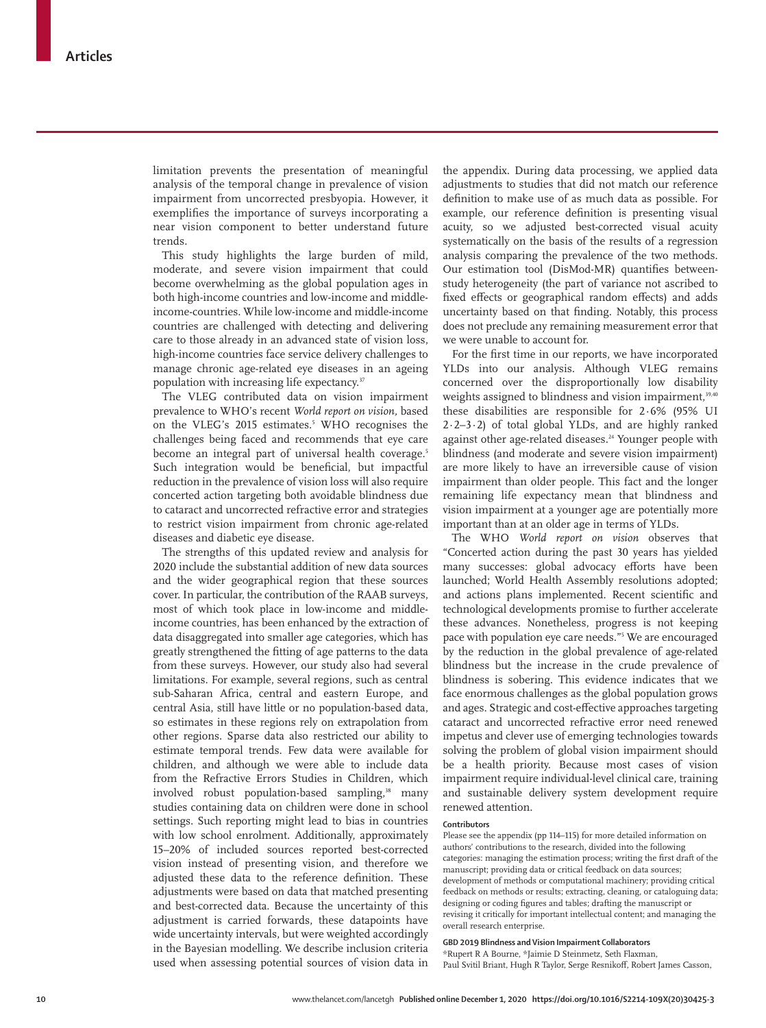limitation prevents the presentation of meaningful analysis of the temporal change in prevalence of vision impairment from uncorrected presbyopia. However, it exemplifies the importance of surveys incorporating a near vision component to better understand future trends.

This study highlights the large burden of mild, moderate, and severe vision impairment that could become overwhelming as the global population ages in both high-income countries and low-income and middleincome-countries. While low-income and middle-income countries are challenged with detecting and delivering care to those already in an advanced state of vision loss, high-income countries face service delivery challenges to manage chronic age-related eye diseases in an ageing population with increasing life expectancy.<sup>37</sup>

The VLEG contributed data on vision impairment prevalence to WHO's recent *World report on vision,* based on the VLEG's 2015 estimates.<sup>5</sup> WHO recognises the challenges being faced and recommends that eye care become an integral part of universal health coverage.<sup>5</sup> Such integration would be beneficial, but impactful reduction in the prevalence of vision loss will also require concerted action targeting both avoidable blindness due to cataract and uncorrected refractive error and strategies to restrict vision impairment from chronic age-related diseases and diabetic eye disease.

The strengths of this updated review and analysis for 2020 include the substantial addition of new data sources and the wider geographical region that these sources cover. In particular, the contribution of the RAAB surveys, most of which took place in low-income and middleincome countries, has been enhanced by the extraction of data disaggregated into smaller age categories, which has greatly strengthened the fitting of age patterns to the data from these surveys. However, our study also had several limitations. For example, several regions, such as central sub-Saharan Africa, central and eastern Europe, and central Asia, still have little or no population-based data, so estimates in these regions rely on extrapolation from other regions. Sparse data also restricted our ability to estimate temporal trends. Few data were available for children, and although we were able to include data from the Refractive Errors Studies in Children, which involved robust population-based sampling,<sup>38</sup> many studies containing data on children were done in school settings. Such reporting might lead to bias in countries with low school enrolment. Additionally, approximately 15–20% of included sources reported best-corrected vision instead of presenting vision, and therefore we adjusted these data to the reference definition. These adjustments were based on data that matched presenting and best-corrected data. Because the uncertainty of this adjustment is carried forwards, these datapoints have wide uncertainty intervals, but were weighted accordingly in the Bayesian modelling. We describe inclusion criteria used when assessing potential sources of vision data in

the appendix. During data processing, we applied data adjustments to studies that did not match our reference definition to make use of as much data as possible. For example, our reference definition is presenting visual acuity, so we adjusted best-corrected visual acuity systematically on the basis of the results of a regression analysis comparing the prevalence of the two methods. Our estimation tool (DisMod-MR) quantifies betweenstudy heterogeneity (the part of variance not ascribed to fixed effects or geographical random effects) and adds uncertainty based on that finding. Notably, this process does not preclude any remaining measurement error that we were unable to account for.

For the first time in our reports, we have incorporated YLDs into our analysis. Although VLEG remains concerned over the disproportionally low disability weights assigned to blindness and vision impairment,<sup>39,40</sup> these disabilities are responsible for 2·6% (95% UI  $2.2-3.2$ ) of total global YLDs, and are highly ranked against other age-related diseases.<sup>24</sup> Younger people with blindness (and moderate and severe vision impairment) are more likely to have an irreversible cause of vision impairment than older people. This fact and the longer remaining life expectancy mean that blindness and vision impairment at a younger age are potentially more important than at an older age in terms of YLDs.

The WHO *World report on vision* observes that "Concerted action during the past 30 years has yielded many successes: global advocacy efforts have been launched; World Health Assembly resolutions adopted; and actions plans implemented. Recent scientific and technological developments promise to further accelerate these advances. Nonetheless, progress is not keeping pace with population eye care needs."5 We are encouraged by the reduction in the global prevalence of age-related blindness but the increase in the crude prevalence of blindness is sobering. This evidence indicates that we face enormous challenges as the global population grows and ages. Strategic and cost-effective approaches targeting cataract and uncorrected refractive error need renewed impetus and clever use of emerging technologies towards solving the problem of global vision impairment should be a health priority. Because most cases of vision impairment require individual-level clinical care, training and sustainable delivery system development require renewed attention.

#### **Contributors**

Please see the appendix (pp 114–115) for more detailed information on authors' contributions to the research, divided into the following categories: managing the estimation process; writing the first draft of the manuscript; providing data or critical feedback on data sources; development of methods or computational machinery; providing critical feedback on methods or results; extracting, cleaning, or cataloguing data; designing or coding figures and tables; drafting the manuscript or revising it critically for important intellectual content; and managing the overall research enterprise.

# **GBD 2019 Blindness and Vision Impairment Collaborators**

\*Rupert R A Bourne, \*Jaimie D Steinmetz, Seth Flaxman, Paul Svitil Briant, Hugh R Taylor, Serge Resnikoff, Robert James Casson,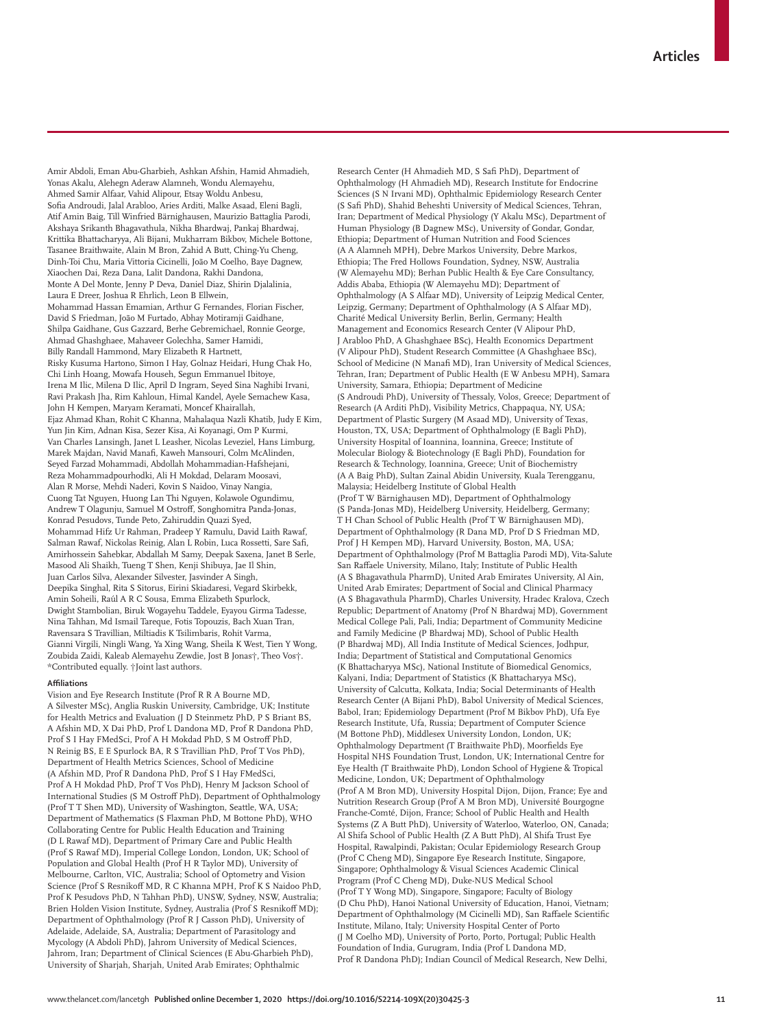Amir Abdoli, Eman Abu-Gharbieh, Ashkan Afshin, Hamid Ahmadieh, Yonas Akalu, Alehegn Aderaw Alamneh, Wondu Alemayehu, Ahmed Samir Alfaar, Vahid Alipour, Etsay Woldu Anbesu, Sofia Androudi, Jalal Arabloo, Aries Arditi, Malke Asaad, Eleni Bagli, Atif Amin Baig, Till Winfried Bärnighausen, Maurizio Battaglia Parodi, Akshaya Srikanth Bhagavathula, Nikha Bhardwaj, Pankaj Bhardwaj, Krittika Bhattacharyya, Ali Bijani, Mukharram Bikbov, Michele Bottone, Tasanee Braithwaite, Alain M Bron, Zahid A Butt, Ching-Yu Cheng, Dinh-Toi Chu, Maria Vittoria Cicinelli, João M Coelho, Baye Dagnew, Xiaochen Dai, Reza Dana, Lalit Dandona, Rakhi Dandona, Monte A Del Monte, Jenny P Deva, Daniel Diaz, Shirin Djalalinia, Laura E Dreer, Joshua R Ehrlich, Leon B Ellwein, Mohammad Hassan Emamian, Arthur G Fernandes, Florian Fischer, David S Friedman, João M Furtado, Abhay Motiramji Gaidhane, Shilpa Gaidhane, Gus Gazzard, Berhe Gebremichael, Ronnie George, Ahmad Ghashghaee, Mahaveer Golechha, Samer Hamidi, Billy Randall Hammond, Mary Elizabeth R Hartnett, Risky Kusuma Hartono, Simon I Hay, Golnaz Heidari, Hung Chak Ho, Chi Linh Hoang, Mowafa Househ, Segun Emmanuel Ibitoye, Irena M Ilic, Milena D Ilic, April D Ingram, Seyed Sina Naghibi Irvani, Ravi Prakash Jha, Rim Kahloun, Himal Kandel, Ayele Semachew Kasa, John H Kempen, Maryam Keramati, Moncef Khairallah, Ejaz Ahmad Khan, Rohit C Khanna, Mahalaqua Nazli Khatib, Judy E Kim, Yun Jin Kim, Adnan Kisa, Sezer Kisa, Ai Koyanagi, Om P Kurmi, Van Charles Lansingh, Janet L Leasher, Nicolas Leveziel, Hans Limburg, Marek Majdan, Navid Manafi, Kaweh Mansouri, Colm McAlinden, Seyed Farzad Mohammadi, Abdollah Mohammadian-Hafshejani, Reza Mohammadpourhodki, Ali H Mokdad, Delaram Moosavi, Alan R Morse, Mehdi Naderi, Kovin S Naidoo, Vinay Nangia, Cuong Tat Nguyen, Huong Lan Thi Nguyen, Kolawole Ogundimu, Andrew T Olagunju, Samuel M Ostroff, Songhomitra Panda-Jonas, Konrad Pesudovs, Tunde Peto, Zahiruddin Quazi Syed, Mohammad Hifz Ur Rahman, Pradeep Y Ramulu, David Laith Rawaf, Salman Rawaf, Nickolas Reinig, Alan L Robin, Luca Rossetti, Sare Safi, Amirhossein Sahebkar, Abdallah M Samy, Deepak Saxena, Janet B Serle, Masood Ali Shaikh, Tueng T Shen, Kenji Shibuya, Jae Il Shin, Juan Carlos Silva, Alexander Silvester, Jasvinder A Singh, Deepika Singhal, Rita S Sitorus, Eirini Skiadaresi, Vegard Skirbekk, Amin Soheili, Raúl A R C Sousa, Emma Elizabeth Spurlock, Dwight Stambolian, Biruk Wogayehu Taddele, Eyayou Girma Tadesse, Nina Tahhan, Md Ismail Tareque, Fotis Topouzis, Bach Xuan Tran, Ravensara S Travillian, Miltiadis K Tsilimbaris, Rohit Varma, Gianni Virgili, Ningli Wang, Ya Xing Wang, Sheila K West, Tien Y Wong, Zoubida Zaidi, Kaleab Alemayehu Zewdie, Jost B Jonas†, Theo Vos†. \*Contributed equally. †Joint last authors.

#### **Affiliations**

Vision and Eye Research Institute (Prof R R A Bourne MD, A Silvester MSc), Anglia Ruskin University, Cambridge, UK; Institute for Health Metrics and Evaluation (J D Steinmetz PhD, P S Briant BS, A Afshin MD, X Dai PhD, Prof L Dandona MD, Prof R Dandona PhD, Prof S I Hay FMedSci, Prof A H Mokdad PhD, S M Ostroff PhD, N Reinig BS, E E Spurlock BA, R S Travillian PhD, Prof T Vos PhD), Department of Health Metrics Sciences, School of Medicine (A Afshin MD, Prof R Dandona PhD, Prof S I Hay FMedSci, Prof A H Mokdad PhD, Prof T Vos PhD), Henry M Jackson School of International Studies (S M Ostroff PhD), Department of Ophthalmology (Prof T T Shen MD), University of Washington, Seattle, WA, USA; Department of Mathematics (S Flaxman PhD, M Bottone PhD), WHO Collaborating Centre for Public Health Education and Training (D L Rawaf MD), Department of Primary Care and Public Health (Prof S Rawaf MD), Imperial College London, London, UK; School of Population and Global Health (Prof H R Taylor MD), University of Melbourne, Carlton, VIC, Australia; School of Optometry and Vision Science (Prof S Resnikoff MD, R C Khanna MPH, Prof K S Naidoo PhD, Prof K Pesudovs PhD, N Tahhan PhD), UNSW, Sydney, NSW, Australia; Brien Holden Vision Institute, Sydney, Australia (Prof S Resnikoff MD); Department of Ophthalmology (Prof R J Casson PhD), University of Adelaide, Adelaide, SA, Australia; Department of Parasitology and Mycology (A Abdoli PhD), Jahrom University of Medical Sciences, Jahrom, Iran; Department of Clinical Sciences (E Abu-Gharbieh PhD), University of Sharjah, Sharjah, United Arab Emirates; Ophthalmic

Research Center (H Ahmadieh MD, S Safi PhD), Department of Ophthalmology (H Ahmadieh MD), Research Institute for Endocrine Sciences (S N Irvani MD), Ophthalmic Epidemiology Research Center (S Safi PhD), Shahid Beheshti University of Medical Sciences, Tehran, Iran; Department of Medical Physiology (Y Akalu MSc), Department of Human Physiology (B Dagnew MSc), University of Gondar, Gondar, Ethiopia; Department of Human Nutrition and Food Sciences (A A Alamneh MPH), Debre Markos University, Debre Markos, Ethiopia; The Fred Hollows Foundation, Sydney, NSW, Australia (W Alemayehu MD); Berhan Public Health & Eye Care Consultancy, Addis Ababa, Ethiopia (W Alemayehu MD); Department of Ophthalmology (A S Alfaar MD), University of Leipzig Medical Center, Leipzig, Germany; Department of Ophthalmology (A S Alfaar MD), Charité Medical University Berlin, Berlin, Germany; Health Management and Economics Research Center (V Alipour PhD, J Arabloo PhD, A Ghashghaee BSc), Health Economics Department (V Alipour PhD), Student Research Committee (A Ghashghaee BSc), School of Medicine (N Manafi MD), Iran University of Medical Sciences, Tehran, Iran; Department of Public Health (E W Anbesu MPH), Samara University, Samara, Ethiopia; Department of Medicine (S Androudi PhD), University of Thessaly, Volos, Greece; Department of Research (A Arditi PhD), Visibility Metrics, Chappaqua, NY, USA; Department of Plastic Surgery (M Asaad MD), University of Texas, Houston, TX, USA; Department of Ophthalmology (E Bagli PhD), University Hospital of Ioannina, Ioannina, Greece; Institute of Molecular Biology & Biotechnology (E Bagli PhD), Foundation for Research & Technology, Ioannina, Greece; Unit of Biochemistry (A A Baig PhD), Sultan Zainal Abidin University, Kuala Terengganu, Malaysia; Heidelberg Institute of Global Health (Prof T W Bärnighausen MD), Department of Ophthalmology (S Panda-Jonas MD), Heidelberg University, Heidelberg, Germany; T H Chan School of Public Health (Prof T W Bärnighausen MD), Department of Ophthalmology (R Dana MD, Prof D S Friedman MD, Prof J H Kempen MD), Harvard University, Boston, MA, USA; Department of Ophthalmology (Prof M Battaglia Parodi MD), Vita-Salute San Raffaele University, Milano, Italy; Institute of Public Health (A S Bhagavathula PharmD), United Arab Emirates University, Al Ain, United Arab Emirates; Department of Social and Clinical Pharmacy (A S Bhagavathula PharmD), Charles University, Hradec Kralova, Czech Republic; Department of Anatomy (Prof N Bhardwaj MD), Government Medical College Pali, Pali, India; Department of Community Medicine and Family Medicine (P Bhardwaj MD), School of Public Health (P Bhardwaj MD), All India Institute of Medical Sciences, Jodhpur, India; Department of Statistical and Computational Genomics (K Bhattacharyya MSc), National Institute of Biomedical Genomics, Kalyani, India; Department of Statistics (K Bhattacharyya MSc), University of Calcutta, Kolkata, India; Social Determinants of Health Research Center (A Bijani PhD), Babol University of Medical Sciences, Babol, Iran; Epidemiology Department (Prof M Bikbov PhD), Ufa Eye Research Institute, Ufa, Russia; Department of Computer Science (M Bottone PhD), Middlesex University London, London, UK; Ophthalmology Department (T Braithwaite PhD), Moorfields Eye Hospital NHS Foundation Trust, London, UK; International Centre for Eye Health (T Braithwaite PhD), London School of Hygiene & Tropical Medicine, London, UK; Department of Ophthalmology (Prof A M Bron MD), University Hospital Dijon, Dijon, France; Eye and Nutrition Research Group (Prof A M Bron MD), Université Bourgogne Franche-Comté, Dijon, France; School of Public Health and Health Systems (Z A Butt PhD), University of Waterloo, Waterloo, ON, Canada; Al Shifa School of Public Health (Z A Butt PhD), Al Shifa Trust Eye Hospital, Rawalpindi, Pakistan; Ocular Epidemiology Research Group (Prof C Cheng MD), Singapore Eye Research Institute, Singapore, Singapore; Ophthalmology & Visual Sciences Academic Clinical Program (Prof C Cheng MD), Duke-NUS Medical School (Prof T Y Wong MD), Singapore, Singapore; Faculty of Biology (D Chu PhD), Hanoi National University of Education, Hanoi, Vietnam; Department of Ophthalmology (M Cicinelli MD), San Raffaele Scientific Institute, Milano, Italy; University Hospital Center of Porto (J M Coelho MD), University of Porto, Porto, Portugal; Public Health Foundation of India, Gurugram, India (Prof L Dandona MD, Prof R Dandona PhD); Indian Council of Medical Research, New Delhi,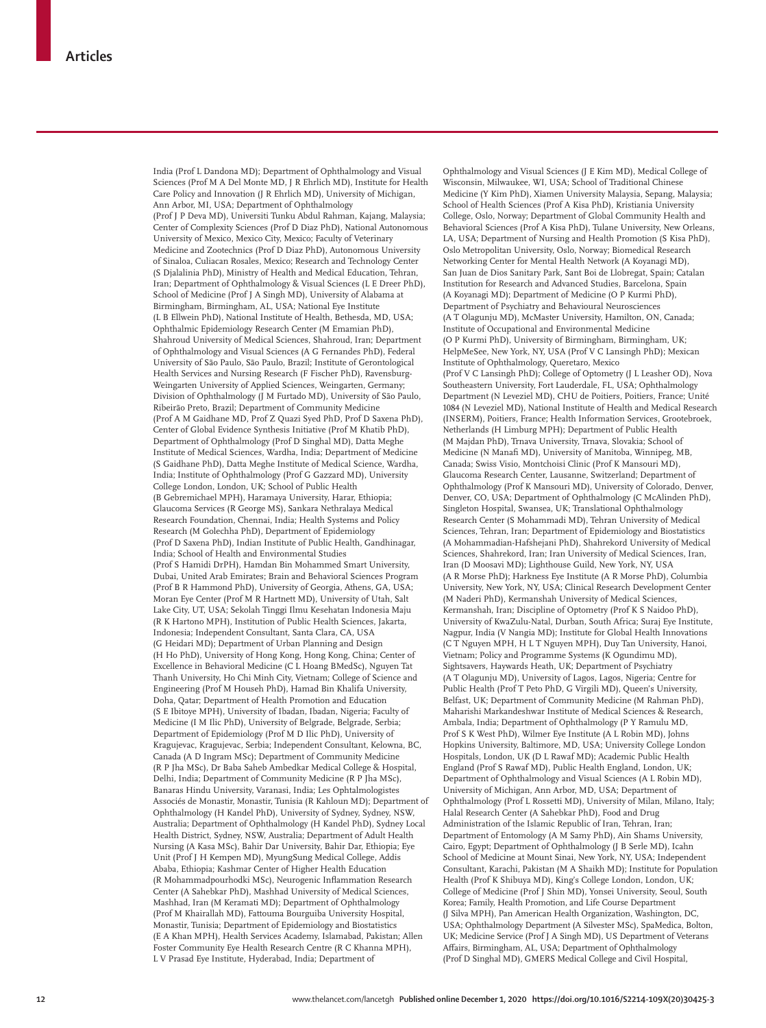India (Prof L Dandona MD); Department of Ophthalmology and Visual Sciences (Prof M A Del Monte MD, J R Ehrlich MD), Institute for Health Care Policy and Innovation (J R Ehrlich MD), University of Michigan, Ann Arbor, MI, USA; Department of Ophthalmology (Prof J P Deva MD), Universiti Tunku Abdul Rahman, Kajang, Malaysia; Center of Complexity Sciences (Prof D Diaz PhD), National Autonomous University of Mexico, Mexico City, Mexico; Faculty of Veterinary Medicine and Zootechnics (Prof D Diaz PhD), Autonomous University of Sinaloa, Culiacan Rosales, Mexico; Research and Technology Center (S Djalalinia PhD), Ministry of Health and Medical Education, Tehran, Iran; Department of Ophthalmology & Visual Sciences (L E Dreer PhD), School of Medicine (Prof J A Singh MD), University of Alabama at Birmingham, Birmingham, AL, USA; National Eye Institute (L B Ellwein PhD), National Institute of Health, Bethesda, MD, USA; Ophthalmic Epidemiology Research Center (M Emamian PhD), Shahroud University of Medical Sciences, Shahroud, Iran; Department of Ophthalmology and Visual Sciences (A G Fernandes PhD), Federal University of São Paulo, São Paulo, Brazil; Institute of Gerontological Health Services and Nursing Research (F Fischer PhD), Ravensburg-Weingarten University of Applied Sciences, Weingarten, Germany; Division of Ophthalmology (J M Furtado MD), University of São Paulo, Ribeirão Preto, Brazil; Department of Community Medicine (Prof A M Gaidhane MD, Prof Z Quazi Syed PhD, Prof D Saxena PhD), Center of Global Evidence Synthesis Initiative (Prof M Khatib PhD), Department of Ophthalmology (Prof D Singhal MD), Datta Meghe Institute of Medical Sciences, Wardha, India; Department of Medicine (S Gaidhane PhD), Datta Meghe Institute of Medical Science, Wardha, India; Institute of Ophthalmology (Prof G Gazzard MD), University College London, London, UK; School of Public Health (B Gebremichael MPH), Haramaya University, Harar, Ethiopia; Glaucoma Services (R George MS), Sankara Nethralaya Medical Research Foundation, Chennai, India; Health Systems and Policy Research (M Golechha PhD), Department of Epidemiology (Prof D Saxena PhD), Indian Institute of Public Health, Gandhinagar, India; School of Health and Environmental Studies (Prof S Hamidi DrPH), Hamdan Bin Mohammed Smart University, Dubai, United Arab Emirates; Brain and Behavioral Sciences Program (Prof B R Hammond PhD), University of Georgia, Athens, GA, USA; Moran Eye Center (Prof M R Hartnett MD), University of Utah, Salt Lake City, UT, USA; Sekolah Tinggi Ilmu Kesehatan Indonesia Maju (R K Hartono MPH), Institution of Public Health Sciences, Jakarta, Indonesia; Independent Consultant, Santa Clara, CA, USA (G Heidari MD); Department of Urban Planning and Design (H Ho PhD), University of Hong Kong, Hong Kong, China; Center of Excellence in Behavioral Medicine (C L Hoang BMedSc), Nguyen Tat Thanh University, Ho Chi Minh City, Vietnam; College of Science and Engineering (Prof M Househ PhD), Hamad Bin Khalifa University, Doha, Qatar; Department of Health Promotion and Education (S E Ibitoye MPH), University of Ibadan, Ibadan, Nigeria; Faculty of Medicine (I M Ilic PhD), University of Belgrade, Belgrade, Serbia; Department of Epidemiology (Prof M D Ilic PhD), University of Kragujevac, Kragujevac, Serbia; Independent Consultant, Kelowna, BC, Canada (A D Ingram MSc); Department of Community Medicine (R P Jha MSc), Dr Baba Saheb Ambedkar Medical College & Hospital, Delhi, India; Department of Community Medicine (R P Jha MSc), Banaras Hindu University, Varanasi, India; Les Ophtalmologistes Associés de Monastir, Monastir, Tunisia (R Kahloun MD); Department of Ophthalmology (H Kandel PhD), University of Sydney, Sydney, NSW, Australia; Department of Ophthalmology (H Kandel PhD), Sydney Local Health District, Sydney, NSW, Australia; Department of Adult Health Nursing (A Kasa MSc), Bahir Dar University, Bahir Dar, Ethiopia; Eye Unit (Prof J H Kempen MD), MyungSung Medical College, Addis Ababa, Ethiopia; Kashmar Center of Higher Health Education (R Mohammadpourhodki MSc), Neurogenic Inflammation Research Center (A Sahebkar PhD), Mashhad University of Medical Sciences, Mashhad, Iran (M Keramati MD); Department of Ophthalmology (Prof M Khairallah MD), Fattouma Bourguiba University Hospital, Monastir, Tunisia; Department of Epidemiology and Biostatistics (E A Khan MPH), Health Services Academy, Islamabad, Pakistan; Allen Foster Community Eye Health Research Centre (R C Khanna MPH), L V Prasad Eye Institute, Hyderabad, India; Department of

Ophthalmology and Visual Sciences (J E Kim MD), Medical College of Wisconsin, Milwaukee, WI, USA; School of Traditional Chinese Medicine (Y Kim PhD), Xiamen University Malaysia, Sepang, Malaysia; School of Health Sciences (Prof A Kisa PhD), Kristiania University College, Oslo, Norway; Department of Global Community Health and Behavioral Sciences (Prof A Kisa PhD), Tulane University, New Orleans, LA, USA; Department of Nursing and Health Promotion (S Kisa PhD), Oslo Metropolitan University, Oslo, Norway; Biomedical Research Networking Center for Mental Health Network (A Koyanagi MD), San Juan de Dios Sanitary Park, Sant Boi de Llobregat, Spain; Catalan Institution for Research and Advanced Studies, Barcelona, Spain (A Koyanagi MD); Department of Medicine (O P Kurmi PhD), Department of Psychiatry and Behavioural Neurosciences (A T Olagunju MD), McMaster University, Hamilton, ON, Canada; Institute of Occupational and Environmental Medicine (O P Kurmi PhD), University of Birmingham, Birmingham, UK; HelpMeSee, New York, NY, USA (Prof V C Lansingh PhD); Mexican Institute of Ophthalmology, Queretaro, Mexico (Prof V C Lansingh PhD); College of Optometry (J L Leasher OD), Nova Southeastern University, Fort Lauderdale, FL, USA; Ophthalmology Department (N Leveziel MD), CHU de Poitiers, Poitiers, France; Unité 1084 (N Leveziel MD), National Institute of Health and Medical Research (INSERM), Poitiers, France; Health Information Services, Grootebroek, Netherlands (H Limburg MPH); Department of Public Health (M Majdan PhD), Trnava University, Trnava, Slovakia; School of Medicine (N Manafi MD), University of Manitoba, Winnipeg, MB, Canada; Swiss Visio, Montchoisi Clinic (Prof K Mansouri MD), Glaucoma Research Center, Lausanne, Switzerland; Department of Ophthalmology (Prof K Mansouri MD), University of Colorado, Denver, Denver, CO, USA; Department of Ophthalmology (C McAlinden PhD), Singleton Hospital, Swansea, UK; Translational Ophthalmology Research Center (S Mohammadi MD), Tehran University of Medical Sciences, Tehran, Iran; Department of Epidemiology and Biostatistics (A Mohammadian-Hafshejani PhD), Shahrekord University of Medical Sciences, Shahrekord, Iran; Iran University of Medical Sciences, Iran, Iran (D Moosavi MD); Lighthouse Guild, New York, NY, USA (A R Morse PhD); Harkness Eye Institute (A R Morse PhD), Columbia University, New York, NY, USA; Clinical Research Development Center (M Naderi PhD), Kermanshah University of Medical Sciences, Kermanshah, Iran; Discipline of Optometry (Prof K S Naidoo PhD), University of KwaZulu-Natal, Durban, South Africa; Suraj Eye Institute, Nagpur, India (V Nangia MD); Institute for Global Health Innovations (C T Nguyen MPH, H L T Nguyen MPH), Duy Tan University, Hanoi, Vietnam; Policy and Programme Systems (K Ogundimu MD), Sightsavers, Haywards Heath, UK; Department of Psychiatry (A T Olagunju MD), University of Lagos, Lagos, Nigeria; Centre for Public Health (Prof T Peto PhD, G Virgili MD), Queen's University, Belfast, UK; Department of Community Medicine (M Rahman PhD), Maharishi Markandeshwar Institute of Medical Sciences & Research, Ambala, India; Department of Ophthalmology (P Y Ramulu MD, Prof S K West PhD), Wilmer Eye Institute (A L Robin MD), Johns Hopkins University, Baltimore, MD, USA; University College London Hospitals, London, UK (D L Rawaf MD); Academic Public Health England (Prof S Rawaf MD), Public Health England, London, UK; Department of Ophthalmology and Visual Sciences (A L Robin MD), University of Michigan, Ann Arbor, MD, USA; Department of Ophthalmology (Prof L Rossetti MD), University of Milan, Milano, Italy; Halal Research Center (A Sahebkar PhD), Food and Drug Administration of the Islamic Republic of Iran, Tehran, Iran; Department of Entomology (A M Samy PhD), Ain Shams University, Cairo, Egypt; Department of Ophthalmology (J B Serle MD), Icahn School of Medicine at Mount Sinai, New York, NY, USA; Independent Consultant, Karachi, Pakistan (M A Shaikh MD); Institute for Population Health (Prof K Shibuya MD), King's College London, London, UK; College of Medicine (Prof J Shin MD), Yonsei University, Seoul, South Korea; Family, Health Promotion, and Life Course Department (J Silva MPH), Pan American Health Organization, Washington, DC, USA; Ophthalmology Department (A Silvester MSc), SpaMedica, Bolton, UK; Medicine Service (Prof J A Singh MD), US Department of Veterans Affairs, Birmingham, AL, USA; Department of Ophthalmology (Prof D Singhal MD), GMERS Medical College and Civil Hospital,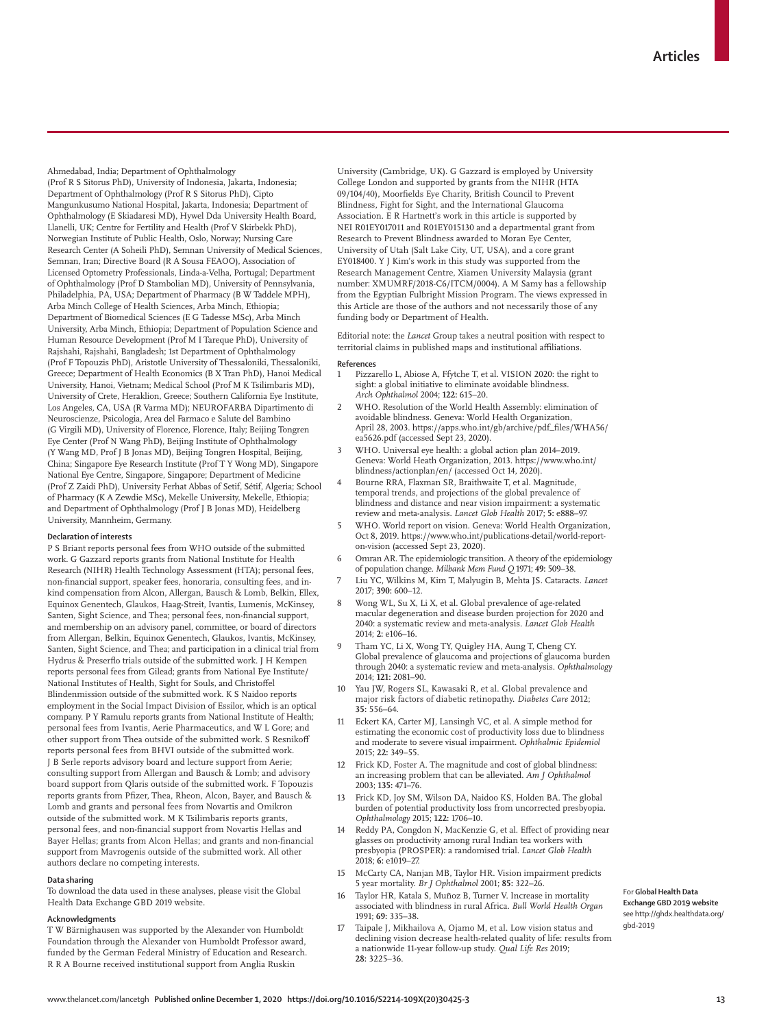Ahmedabad, India; Department of Ophthalmology (Prof R S Sitorus PhD), University of Indonesia, Jakarta, Indonesia; Department of Ophthalmology (Prof R S Sitorus PhD), Cipto Mangunkusumo National Hospital, Jakarta, Indonesia; Department of Ophthalmology (E Skiadaresi MD), Hywel Dda University Health Board, Llanelli, UK; Centre for Fertility and Health (Prof V Skirbekk PhD), Norwegian Institute of Public Health, Oslo, Norway; Nursing Care Research Center (A Soheili PhD), Semnan University of Medical Sciences, Semnan, Iran; Directive Board (R A Sousa FEAOO), Association of Licensed Optometry Professionals, Linda-a-Velha, Portugal; Department of Ophthalmology (Prof D Stambolian MD), University of Pennsylvania, Philadelphia, PA, USA; Department of Pharmacy (B W Taddele MPH), Arba Minch College of Health Sciences, Arba Minch, Ethiopia; Department of Biomedical Sciences (E G Tadesse MSc), Arba Minch University, Arba Minch, Ethiopia; Department of Population Science and Human Resource Development (Prof M I Tareque PhD), University of Rajshahi, Rajshahi, Bangladesh; 1st Department of Ophthalmology (Prof F Topouzis PhD), Aristotle University of Thessaloniki, Thessaloniki, Greece; Department of Health Economics (B X Tran PhD), Hanoi Medical University, Hanoi, Vietnam; Medical School (Prof M K Tsilimbaris MD), University of Crete, Heraklion, Greece; Southern California Eye Institute, Los Angeles, CA, USA (R Varma MD); NEUROFARBA Dipartimento di Neuroscienze, Psicologia, Area del Farmaco e Salute del Bambino (G Virgili MD), University of Florence, Florence, Italy; Beijing Tongren Eye Center (Prof N Wang PhD), Beijing Institute of Ophthalmology (Y Wang MD, Prof J B Jonas MD), Beijing Tongren Hospital, Beijing, China; Singapore Eye Research Institute (Prof T Y Wong MD), Singapore National Eye Centre, Singapore, Singapore; Department of Medicine (Prof Z Zaidi PhD), University Ferhat Abbas of Setif, Sétif, Algeria; School of Pharmacy (K A Zewdie MSc), Mekelle University, Mekelle, Ethiopia; and Department of Ophthalmology (Prof J B Jonas MD), Heidelberg University, Mannheim, Germany.

#### **Declaration of interests**

P S Briant reports personal fees from WHO outside of the submitted work. G Gazzard reports grants from National Institute for Health Research (NIHR) Health Technology Assessment (HTA); personal fees, non-financial support, speaker fees, honoraria, consulting fees, and inkind compensation from Alcon, Allergan, Bausch & Lomb, Belkin, Ellex, Equinox Genentech, Glaukos, Haag-Streit, Ivantis, Lumenis, McKinsey, Santen, Sight Science, and Thea; personal fees, non-financial support, and membership on an advisory panel, committee, or board of directors from Allergan, Belkin, Equinox Genentech, Glaukos, Ivantis, McKinsey, Santen, Sight Science, and Thea; and participation in a clinical trial from Hydrus & Preserflo trials outside of the submitted work. J H Kempen reports personal fees from Gilead; grants from National Eye Institute/ National Institutes of Health, Sight for Souls, and Christoffel Blindenmission outside of the submitted work. K S Naidoo reports employment in the Social Impact Division of Essilor, which is an optical company. P Y Ramulu reports grants from National Institute of Health; personal fees from Ivantis, Aerie Pharmaceutics, and W L Gore; and other support from Thea outside of the submitted work. S Resnikoff reports personal fees from BHVI outside of the submitted work. J B Serle reports advisory board and lecture support from Aerie; consulting support from Allergan and Bausch & Lomb; and advisory board support from Qlaris outside of the submitted work. F Topouzis reports grants from Pfizer, Thea, Rheon, Alcon, Bayer, and Bausch & Lomb and grants and personal fees from Novartis and Omikron outside of the submitted work. M K Tsilimbaris reports grants, personal fees, and non-financial support from Novartis Hellas and Bayer Hellas; grants from Alcon Hellas; and grants and non-financial support from Mavrogenis outside of the submitted work. All other authors declare no competing interests.

### **Data sharing**

To download the data used in these analyses, please visit the [Global](http://ghdx.healthdata.org/gbd-2019)  [Health Data Exchange GBD 2019 website.](http://ghdx.healthdata.org/gbd-2019)

#### **Acknowledgments**

T W Bärnighausen was supported by the Alexander von Humboldt Foundation through the Alexander von Humboldt Professor award, funded by the German Federal Ministry of Education and Research. R R A Bourne received institutional support from Anglia Ruskin

University (Cambridge, UK). G Gazzard is employed by University College London and supported by grants from the NIHR (HTA 09/104/40), Moorfields Eye Charity, British Council to Prevent Blindness, Fight for Sight, and the International Glaucoma Association. E R Hartnett's work in this article is supported by NEI R01EY017011 and R01EY015130 and a departmental grant from Research to Prevent Blindness awarded to Moran Eye Center, University of Utah (Salt Lake City, UT, USA), and a core grant EY018400. Y J Kim's work in this study was supported from the Research Management Centre, Xiamen University Malaysia (grant number: XMUMRF/2018-C6/ITCM/0004). A M Samy has a fellowship from the Egyptian Fulbright Mission Program. The views expressed in this Article are those of the authors and not necessarily those of any funding body or Department of Health.

Editorial note: the *Lancet* Group takes a neutral position with respect to territorial claims in published maps and institutional affiliations.

#### **References**

- 1 Pizzarello L, Abiose A, Ffytche T, et al. VISION 2020: the right to sight: a global initiative to eliminate avoidable blindness. *Arch Ophthalmol* 2004; **122:** 615–20.
- 2 WHO. Resolution of the World Health Assembly: elimination of avoidable blindness. Geneva: World Health Organization, April 28, 2003. https://apps.who.int/gb/archive/pdf\_files/WHA56/ ea5626.pdf (accessed Sept 23, 2020).
- 3 WHO. Universal eye health: a global action plan 2014–2019. Geneva: World Heath Organization, 2013. https://www.who.int/ blindness/actionplan/en/ (accessed Oct 14, 2020).
- 4 Bourne RRA, Flaxman SR, Braithwaite T, et al. Magnitude, temporal trends, and projections of the global prevalence of blindness and distance and near vision impairment: a systematic review and meta-analysis. *Lancet Glob Health* 2017; **5:** e888–97.
- 5 WHO. World report on vision. Geneva: World Health Organization, Oct 8, 2019. https://www.who.int/publications-detail/world-reporton-vision (accessed Sept 23, 2020).
- 6 Omran AR. The epidemiologic transition. A theory of the epidemiology of population change. *Milbank Mem Fund Q* 1971; **49:** 509–38.
- 7 Liu YC, Wilkins M, Kim T, Malyugin B, Mehta JS. Cataracts. *Lancet* 2017; **390:** 600–12.
- Wong WL, Su X, Li X, et al. Global prevalence of age-related macular degeneration and disease burden projection for 2020 and 2040: a systematic review and meta-analysis. *Lancet Glob Health* 2014; **2:** e106–16.
- 9 Tham YC, Li X, Wong TY, Quigley HA, Aung T, Cheng CY. Global prevalence of glaucoma and projections of glaucoma burden through 2040: a systematic review and meta-analysis. *Ophthalmology* 2014; **121:** 2081–90.
- 10 Yau JW, Rogers SL, Kawasaki R, et al. Global prevalence and major risk factors of diabetic retinopathy. *Diabetes Care* 2012; **35:** 556–64.
- Eckert KA, Carter MJ, Lansingh VC, et al. A simple method for estimating the economic cost of productivity loss due to blindness and moderate to severe visual impairment. *Ophthalmic Epidemiol* 2015; **22:** 349–55.
- 12 Frick KD, Foster A. The magnitude and cost of global blindness: an increasing problem that can be alleviated. *Am J Ophthalmol* 2003; **135:** 471–76.
- 13 Frick KD, Joy SM, Wilson DA, Naidoo KS, Holden BA. The global burden of potential productivity loss from uncorrected presbyopia. *Ophthalmology* 2015; **122:** 1706–10.
- Reddy PA, Congdon N, MacKenzie G, et al. Effect of providing near glasses on productivity among rural Indian tea workers with presbyopia (PROSPER): a randomised trial. *Lancet Glob Health* 2018; **6:** e1019–27.
- 15 McCarty CA, Nanjan MB, Taylor HR. Vision impairment predicts 5 year mortality. *Br J Ophthalmol* 2001; **85:** 322–26.
- 16 Taylor HR, Katala S, Muñoz B, Turner V. Increase in mortality associated with blindness in rural Africa. *Bull World Health Organ* 1991; **69:** 335–38.
- 17 Taipale J, Mikhailova A, Ojamo M, et al. Low vision status and declining vision decrease health-related quality of life: results from a nationwide 11-year follow-up study. *Qual Life Res* 2019; **28:** 3225–36.

For **Global Health Data Exchange GBD 2019 website** see [http://ghdx.healthdata.org/](http://ghdx.healthdata.org/gbd-2019) [gbd-2019](http://ghdx.healthdata.org/gbd-2019)